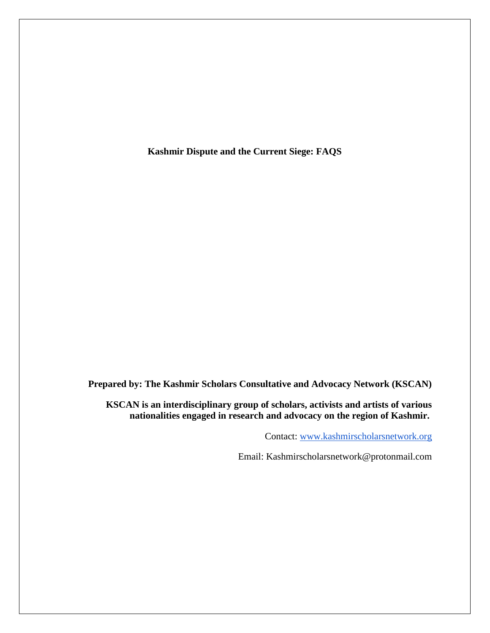**Kashmir Dispute and the Current Siege: FAQS**

**Prepared by: The Kashmir Scholars Consultative and Advocacy Network (KSCAN)**

**KSCAN is an interdisciplinary group of scholars, activists and artists of various nationalities engaged in research and advocacy on the region of Kashmir.**

Contact: [www.kashmirscholarsnetwork.org](http://www.kashmirscholarsnetwork.org/)

Email: Kashmirscholarsnetwork@protonmail.com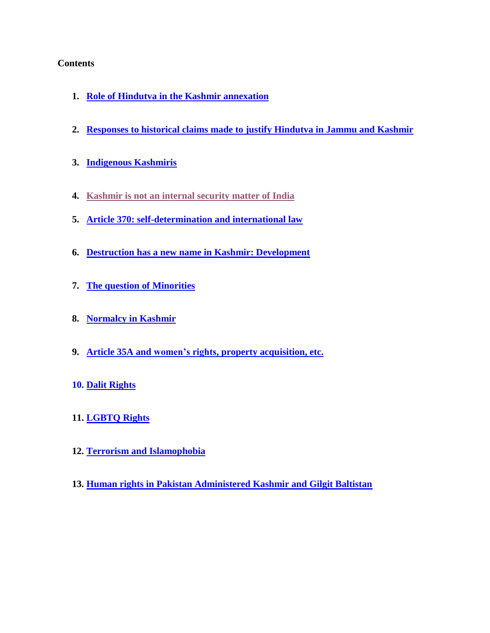# **Contents**

- **1. [Role of Hindutva in the Kashmir annexation](#page-1-0)**
- **2. [Responses to historical claims made to justify Hindutva in Jammu and Kashmir](#page-4-0)**
- **3. [Indigenous Kashmiris](#page-7-0)**
- **4. [Kashmir is not an internal security matter of India](#page-8-0)**
- **5. [Article 370: self-determination and international law](#page-8-0)**
- **6. [Destruction has a new name in Kashmir: Development](#page-16-0)**
- **7. The question of [Minorities](#page-21-0)**
- **8. [Normalcy in Kashmir](#page-29-0)**
- **9. [Article 35A and women's rights, property acquisition, etc.](#page-31-0)**
- **10. [Dalit Rights](#page-33-0)**
- **11. [LGBTQ Rights](#page-32-0)**
- **12. [Terrorism and Islamophobia](#page-36-0)**
- <span id="page-1-0"></span>**13. [Human rights in Pakistan Administered Kashmir and Gilgit Baltistan](#page-38-0)**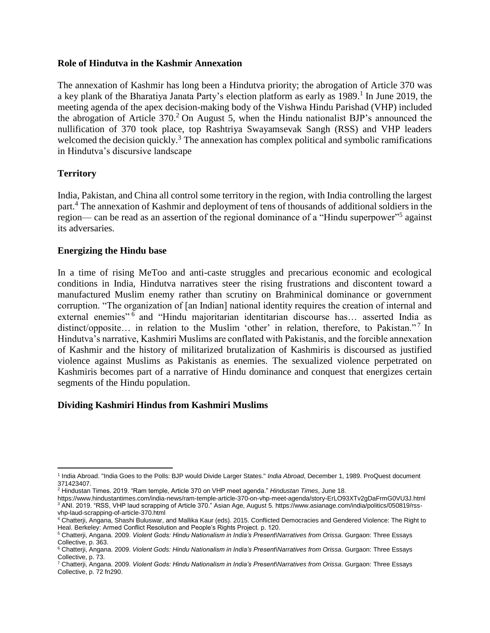### **Role of Hindutva in the Kashmir Annexation**

The annexation of Kashmir has long been a Hindutva priority; the abrogation of Article 370 was a key plank of the Bharatiya Janata Party's election platform as early as 1989.<sup>1</sup> In June 2019, the meeting agenda of the apex decision-making body of the Vishwa Hindu Parishad (VHP) included the abrogation of Article  $370<sup>2</sup>$  On August 5, when the Hindu nationalist BJP's announced the nullification of 370 took place, top Rashtriya Swayamsevak Sangh (RSS) and VHP leaders welcomed the decision quickly.<sup>3</sup> The annexation has complex political and symbolic ramifications in Hindutva's discursive landscape

## **Territory**

India, Pakistan, and China all control some territory in the region, with India controlling the largest part.<sup>4</sup> The annexation of Kashmir and deployment of tens of thousands of additional soldiers in the region— can be read as an assertion of the regional dominance of a "Hindu superpower"<sup>5</sup> against its adversaries.

### **Energizing the Hindu base**

In a time of rising MeToo and anti-caste struggles and precarious economic and ecological conditions in India, Hindutva narratives steer the rising frustrations and discontent toward a manufactured Muslim enemy rather than scrutiny on Brahminical dominance or government corruption. "The organization of [an Indian] national identity requires the creation of internal and external enemies"<sup>6</sup> and "Hindu majoritarian identitarian discourse has... asserted India as distinct/opposite... in relation to the Muslim 'other' in relation, therefore, to Pakistan."<sup>7</sup> In Hindutva's narrative, Kashmiri Muslims are conflated with Pakistanis, and the forcible annexation of Kashmir and the history of militarized brutalization of Kashmiris is discoursed as justified violence against Muslims as Pakistanis as enemies. The sexualized violence perpetrated on Kashmiris becomes part of a narrative of Hindu dominance and conquest that energizes certain segments of the Hindu population.

### **Dividing Kashmiri Hindus from Kashmiri Muslims**

 $\overline{a}$ <sup>1</sup> India Abroad. "India Goes to the Polls: BJP would Divide Larger States." *India Abroad*, December 1, 1989. ProQuest document 371423407.

<sup>2</sup> Hindustan Times. 2019. "Ram temple, Article 370 on VHP meet agenda." *Hindustan Times*, June 18.

https://www.hindustantimes.com/india-news/ram-temple-article-370-on-vhp-meet-agenda/story-ErLO93XTv2gDaFrmG0VU3J.html <sup>3</sup> ANI. 2019. "RSS, VHP laud scrapping of Article 370." Asian Age, August 5. https://www.asianage.com/india/politics/050819/rssvhp-laud-scrapping-of-article-370.html

<sup>4</sup> Chatterji, Angana, Shashi Buluswar, and Mallika Kaur (eds). 2015. Conflicted Democracies and Gendered Violence: The Right to Heal. Berkeley: Armed Conflict Resolution and People's Rights Project. p. 120.

<sup>5</sup> Chatterji, Angana. 2009. *Violent Gods: Hindu Nationalism in India's Present\Narratives from Orissa*. Gurgaon: Three Essays Collective, p. 363.

<sup>&</sup>lt;sup>6</sup> Chatterji, Angana. 2009. *Violent Gods: Hindu Nationalism in India's Present\Narratives from Orissa*. Gurgaon: Three Essays Collective, p. 73.

<sup>7</sup> Chatterji, Angana. 2009. *Violent Gods: Hindu Nationalism in India's Present\Narratives from Orissa*. Gurgaon: Three Essays Collective, p. 72 fn290.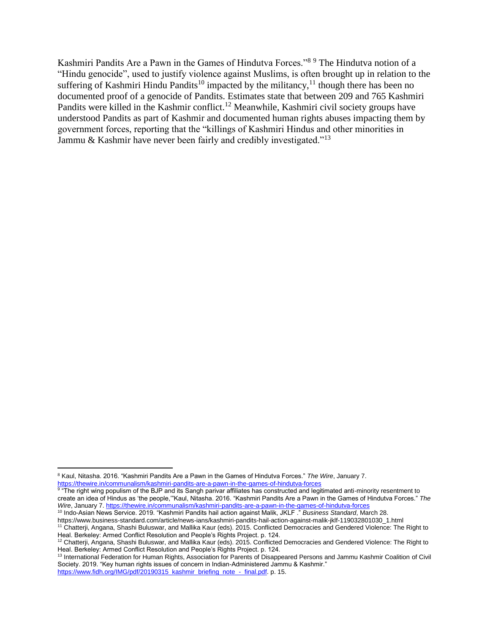Kashmiri Pandits Are a Pawn in the Games of Hindutva Forces."<sup>8</sup> <sup>9</sup> The Hindutva notion of a "Hindu genocide", used to justify violence against Muslims, is often brought up in relation to the suffering of Kashmiri Hindu Pandits<sup>10</sup> impacted by the militancy,<sup>11</sup> though there has been no documented proof of a genocide of Pandits. Estimates state that between 209 and 765 Kashmiri Pandits were killed in the Kashmir conflict.<sup>12</sup> Meanwhile, Kashmiri civil society groups have understood Pandits as part of Kashmir and documented human rights abuses impacting them by government forces, reporting that the "killings of Kashmiri Hindus and other minorities in Jammu & Kashmir have never been fairly and credibly investigated."<sup>13</sup>

 $\overline{a}$ 

<sup>10</sup> Indo-Asian News Service. 2019. "Kashmiri Pandits hail action against Malik, JKLF ." *Business Standard*, March 28. https://www.business-standard.com/article/news-ians/kashmiri-pandits-hail-action-against-malik-jklf-119032801030\_1.html <sup>11</sup> Chatterji, Angana, Shashi Buluswar, and Mallika Kaur (eds). 2015. Conflicted Democracies and Gendered Violence: The Right to Heal. Berkeley: Armed Conflict Resolution and People's Rights Project. p. 124.

<sup>8</sup> Kaul, Nitasha. 2016. "Kashmiri Pandits Are a Pawn in the Games of Hindutva Forces." *The Wire*, January 7. <https://thewire.in/communalism/kashmiri-pandits-are-a-pawn-in-the-games-of-hindutva-forces>

 $^9$  "The right wing populism of the BJP and its Sangh parivar affiliates has constructed and legitimated anti-minority resentment to create an idea of Hindus as 'the people,'"Kaul, Nitasha. 2016. "Kashmiri Pandits Are a Pawn in the Games of Hindutva Forces." *The Wire*, January 7[. https://thewire.in/communalism/kashmiri-pandits-are-a-pawn-in-the-games-of-hindutva-forces](https://thewire.in/communalism/kashmiri-pandits-are-a-pawn-in-the-games-of-hindutva-forces)

<sup>12</sup> Chatterji, Angana, Shashi Buluswar, and Mallika Kaur (eds). 2015. Conflicted Democracies and Gendered Violence: The Right to Heal. Berkeley: Armed Conflict Resolution and People's Rights Project. p. 124.

<sup>13</sup> International Federation for Human Rights, Association for Parents of Disappeared Persons and Jammu Kashmir Coalition of Civil Society. 2019. "Key human rights issues of concern in Indian-Administered Jammu & Kashmir." [https://www.fidh.org/IMG/pdf/20190315\\_kashmir\\_briefing\\_note\\_-\\_final.pdf.](https://www.fidh.org/IMG/pdf/20190315_kashmir_briefing_note_-_final.pdf) p. 15.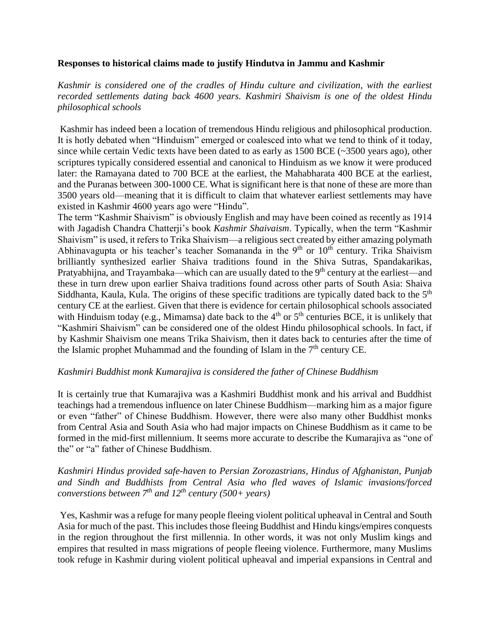### <span id="page-4-0"></span>**Responses to historical claims made to justify Hindutva in Jammu and Kashmir**

*Kashmir is considered one of the cradles of Hindu culture and civilization, with the earliest recorded settlements dating back 4600 years. Kashmiri Shaivism is one of the oldest Hindu philosophical schools*

Kashmir has indeed been a location of tremendous Hindu religious and philosophical production. It is hotly debated when "Hinduism" emerged or coalesced into what we tend to think of it today, since while certain Vedic texts have been dated to as early as 1500 BCE (~3500 years ago), other scriptures typically considered essential and canonical to Hinduism as we know it were produced later: the Ramayana dated to 700 BCE at the earliest, the Mahabharata 400 BCE at the earliest, and the Puranas between 300-1000 CE. What is significant here is that none of these are more than 3500 years old—meaning that it is difficult to claim that whatever earliest settlements may have existed in Kashmir 4600 years ago were "Hindu".

The term "Kashmir Shaivism" is obviously English and may have been coined as recently as 1914 with Jagadish Chandra Chatterji's book *Kashmir Shaivaism*. Typically, when the term "Kashmir Shaivism" is used, it refers to Trika Shaivism—a religious sect created by either amazing polymath Abhinavagupta or his teacher's teacher Somananda in the  $9<sup>th</sup>$  or  $10<sup>th</sup>$  century. Trika Shaivism brilliantly synthesized earlier Shaiva traditions found in the Shiva Sutras, Spandakarikas, Pratyabhijna, and Trayambaka—which can are usually dated to the  $9<sup>th</sup>$  century at the earliest—and these in turn drew upon earlier Shaiva traditions found across other parts of South Asia: Shaiva Siddhanta, Kaula, Kula. The origins of these specific traditions are typically dated back to the 5<sup>th</sup> century CE at the earliest. Given that there is evidence for certain philosophical schools associated with Hinduism today (e.g., Mimamsa) date back to the  $4<sup>th</sup>$  or  $5<sup>th</sup>$  centuries BCE, it is unlikely that "Kashmiri Shaivism" can be considered one of the oldest Hindu philosophical schools. In fact, if by Kashmir Shaivism one means Trika Shaivism, then it dates back to centuries after the time of the Islamic prophet Muhammad and the founding of Islam in the  $7<sup>th</sup>$  century CE.

### *Kashmiri Buddhist monk Kumarajiva is considered the father of Chinese Buddhism*

It is certainly true that Kumarajiva was a Kashmiri Buddhist monk and his arrival and Buddhist teachings had a tremendous influence on later Chinese Buddhism—marking him as a major figure or even "father" of Chinese Buddhism. However, there were also many other Buddhist monks from Central Asia and South Asia who had major impacts on Chinese Buddhism as it came to be formed in the mid-first millennium. It seems more accurate to describe the Kumarajiva as "one of the" or "a" father of Chinese Buddhism.

## *Kashmiri Hindus provided safe-haven to Persian Zorozastrians, Hindus of Afghanistan, Punjab and Sindh and Buddhists from Central Asia who fled waves of Islamic invasions/forced converstions between 7th and 12th century (500+ years)*

Yes, Kashmir was a refuge for many people fleeing violent political upheaval in Central and South Asia for much of the past. This includes those fleeing Buddhist and Hindu kings/empires conquests in the region throughout the first millennia. In other words, it was not only Muslim kings and empires that resulted in mass migrations of people fleeing violence. Furthermore, many Muslims took refuge in Kashmir during violent political upheaval and imperial expansions in Central and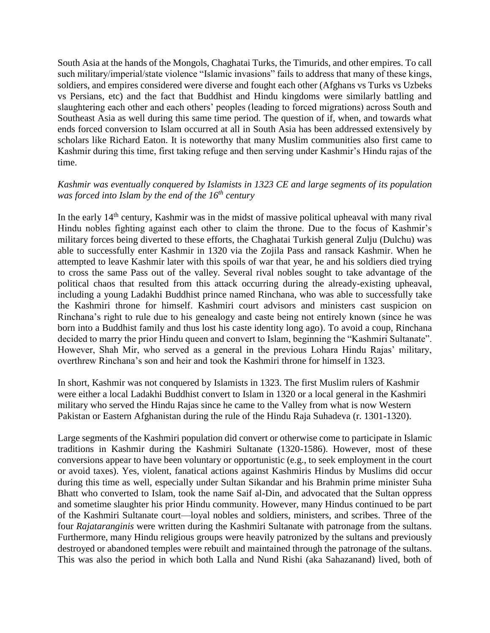South Asia at the hands of the Mongols, Chaghatai Turks, the Timurids, and other empires. To call such military/imperial/state violence "Islamic invasions" fails to address that many of these kings, soldiers, and empires considered were diverse and fought each other (Afghans vs Turks vs Uzbeks vs Persians, etc) and the fact that Buddhist and Hindu kingdoms were similarly battling and slaughtering each other and each others' peoples (leading to forced migrations) across South and Southeast Asia as well during this same time period. The question of if, when, and towards what ends forced conversion to Islam occurred at all in South Asia has been addressed extensively by scholars like Richard Eaton. It is noteworthy that many Muslim communities also first came to Kashmir during this time, first taking refuge and then serving under Kashmir's Hindu rajas of the time.

## *Kashmir was eventually conquered by Islamists in 1323 CE and large segments of its population was forced into Islam by the end of the 16th century*

In the early 14<sup>th</sup> century, Kashmir was in the midst of massive political upheaval with many rival Hindu nobles fighting against each other to claim the throne. Due to the focus of Kashmir's military forces being diverted to these efforts, the Chaghatai Turkish general Zulju (Dulchu) was able to successfully enter Kashmir in 1320 via the Zojila Pass and ransack Kashmir. When he attempted to leave Kashmir later with this spoils of war that year, he and his soldiers died trying to cross the same Pass out of the valley. Several rival nobles sought to take advantage of the political chaos that resulted from this attack occurring during the already-existing upheaval, including a young Ladakhi Buddhist prince named Rinchana, who was able to successfully take the Kashmiri throne for himself. Kashmiri court advisors and ministers cast suspicion on Rinchana's right to rule due to his genealogy and caste being not entirely known (since he was born into a Buddhist family and thus lost his caste identity long ago). To avoid a coup, Rinchana decided to marry the prior Hindu queen and convert to Islam, beginning the "Kashmiri Sultanate". However, Shah Mir, who served as a general in the previous Lohara Hindu Rajas' military, overthrew Rinchana's son and heir and took the Kashmiri throne for himself in 1323.

In short, Kashmir was not conquered by Islamists in 1323. The first Muslim rulers of Kashmir were either a local Ladakhi Buddhist convert to Islam in 1320 or a local general in the Kashmiri military who served the Hindu Rajas since he came to the Valley from what is now Western Pakistan or Eastern Afghanistan during the rule of the Hindu Raja Suhadeva (r. 1301-1320).

Large segments of the Kashmiri population did convert or otherwise come to participate in Islamic traditions in Kashmir during the Kashmiri Sultanate (1320-1586). However, most of these conversions appear to have been voluntary or opportunistic (e.g., to seek employment in the court or avoid taxes). Yes, violent, fanatical actions against Kashmiris Hindus by Muslims did occur during this time as well, especially under Sultan Sikandar and his Brahmin prime minister Suha Bhatt who converted to Islam, took the name Saif al-Din, and advocated that the Sultan oppress and sometime slaughter his prior Hindu community. However, many Hindus continued to be part of the Kashmiri Sultanate court—loyal nobles and soldiers, ministers, and scribes. Three of the four *Rajataranginis* were written during the Kashmiri Sultanate with patronage from the sultans. Furthermore, many Hindu religious groups were heavily patronized by the sultans and previously destroyed or abandoned temples were rebuilt and maintained through the patronage of the sultans. This was also the period in which both Lalla and Nund Rishi (aka Sahazanand) lived, both of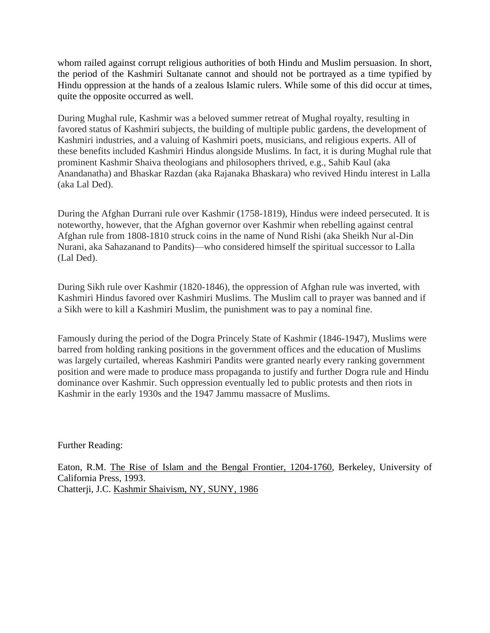whom railed against corrupt religious authorities of both Hindu and Muslim persuasion. In short, the period of the Kashmiri Sultanate cannot and should not be portrayed as a time typified by Hindu oppression at the hands of a zealous Islamic rulers. While some of this did occur at times, quite the opposite occurred as well.

During Mughal rule, Kashmir was a beloved summer retreat of Mughal royalty, resulting in favored status of Kashmiri subjects, the building of multiple public gardens, the development of Kashmiri industries, and a valuing of Kashmiri poets, musicians, and religious experts. All of these benefits included Kashmiri Hindus alongside Muslims. In fact, it is during Mughal rule that prominent Kashmir Shaiva theologians and philosophers thrived, e.g., Sahib Kaul (aka Anandanatha) and Bhaskar Razdan (aka Rajanaka Bhaskara) who revived Hindu interest in Lalla (aka Lal Ded).

During the Afghan Durrani rule over Kashmir (1758-1819), Hindus were indeed persecuted. It is noteworthy, however, that the Afghan governor over Kashmir when rebelling against central Afghan rule from 1808-1810 struck coins in the name of Nund Rishi (aka Sheikh Nur al-Din Nurani, aka Sahazanand to Pandits)—who considered himself the spiritual successor to Lalla (Lal Ded).

During Sikh rule over Kashmir (1820-1846), the oppression of Afghan rule was inverted, with Kashmiri Hindus favored over Kashmiri Muslims. The Muslim call to prayer was banned and if a Sikh were to kill a Kashmiri Muslim, the punishment was to pay a nominal fine.

Famously during the period of the Dogra Princely State of Kashmir (1846-1947), Muslims were barred from holding ranking positions in the government offices and the education of Muslims was largely curtailed, whereas Kashmiri Pandits were granted nearly every ranking government position and were made to produce mass propaganda to justify and further Dogra rule and Hindu dominance over Kashmir. Such oppression eventually led to public protests and then riots in Kashmir in the early 1930s and the 1947 Jammu massacre of Muslims.

Further Reading:

Eaton, R.M. The Rise of Islam and the Bengal Frontier, 1204-1760, Berkeley, University of California Press, 1993. Chatterji, J.C. Kashmir Shaivism, NY, SUNY, 1986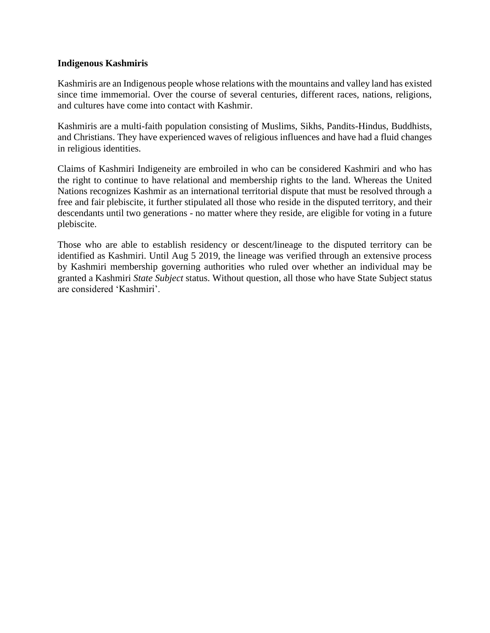### <span id="page-7-0"></span>**Indigenous Kashmiris**

Kashmiris are an Indigenous people whose relations with the mountains and valley land has existed since time immemorial. Over the course of several centuries, different races, nations, religions, and cultures have come into contact with Kashmir.

Kashmiris are a multi-faith population consisting of Muslims, Sikhs, Pandits-Hindus, Buddhists, and Christians. They have experienced waves of religious influences and have had a fluid changes in religious identities.

Claims of Kashmiri Indigeneity are embroiled in who can be considered Kashmiri and who has the right to continue to have relational and membership rights to the land. Whereas the United Nations recognizes Kashmir as an international territorial dispute that must be resolved through a free and fair plebiscite, it further stipulated all those who reside in the disputed territory, and their descendants until two generations - no matter where they reside, are eligible for voting in a future plebiscite.

Those who are able to establish residency or descent/lineage to the disputed territory can be identified as Kashmiri. Until Aug 5 2019, the lineage was verified through an extensive process by Kashmiri membership governing authorities who ruled over whether an individual may be granted a Kashmiri *State Subject* status. Without question, all those who have State Subject status are considered 'Kashmiri'.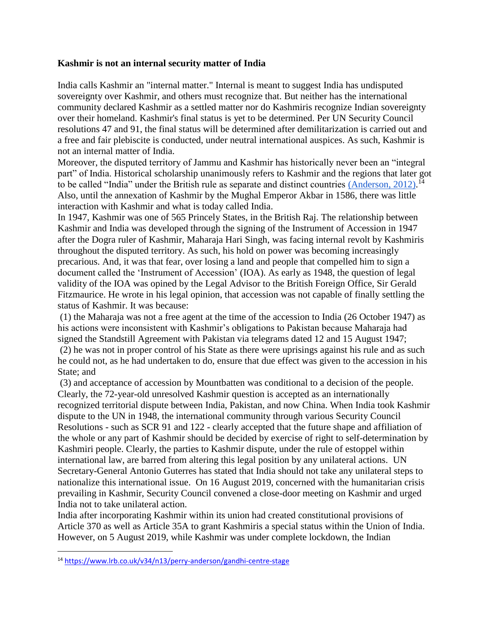### <span id="page-8-0"></span>**Kashmir is not an internal security matter of India**

India calls Kashmir an "internal matter." Internal is meant to suggest India has undisputed sovereignty over Kashmir, and others must recognize that. But neither has the international community declared Kashmir as a settled matter nor do Kashmiris recognize Indian sovereignty over their homeland. Kashmir's final status is yet to be determined. Per UN Security Council resolutions 47 and 91, the final status will be determined after demilitarization is carried out and a free and fair plebiscite is conducted, under neutral international auspices. As such, Kashmir is not an internal matter of India.

Moreover, the disputed territory of Jammu and Kashmir has historically never been an "integral part" of India. Historical scholarship unanimously refers to Kashmir and the regions that later got to be called "India" under the British rule as separate and distinct countries [\(Anderson, 2012\).](https://www.lrb.co.uk/v34/n13/perry-anderson/gandhi-centre-stage)<sup>14</sup> Also, until the annexation of Kashmir by the Mughal Emperor Akbar in 1586, there was little interaction with Kashmir and what is today called India.

In 1947, Kashmir was one of 565 Princely States, in the British Raj. The relationship between Kashmir and India was developed through the signing of the Instrument of Accession in 1947 after the Dogra ruler of Kashmir, Maharaja Hari Singh, was facing internal revolt by Kashmiris throughout the disputed territory. As such, his hold on power was becoming increasingly precarious. And, it was that fear, over losing a land and people that compelled him to sign a document called the 'Instrument of Accession' (IOA). As early as 1948, the question of legal validity of the IOA was opined by the Legal Advisor to the British Foreign Office, Sir Gerald Fitzmaurice. He wrote in his legal opinion, that accession was not capable of finally settling the status of Kashmir. It was because:

(1) the Maharaja was not a free agent at the time of the accession to India (26 October 1947) as his actions were inconsistent with Kashmir's obligations to Pakistan because Maharaja had signed the Standstill Agreement with Pakistan via telegrams dated 12 and 15 August 1947;

(2) he was not in proper control of his State as there were uprisings against his rule and as such he could not, as he had undertaken to do, ensure that due effect was given to the accession in his State; and

(3) and acceptance of accession by Mountbatten was conditional to a decision of the people. Clearly, the 72-year-old unresolved Kashmir question is accepted as an internationally recognized territorial dispute between India, Pakistan, and now China. When India took Kashmir dispute to the UN in 1948, the international community through various Security Council Resolutions - such as SCR 91 and 122 - clearly accepted that the future shape and affiliation of the whole or any part of Kashmir should be decided by exercise of right to self-determination by Kashmiri people. Clearly, the parties to Kashmir dispute, under the rule of estoppel within international law, are barred from altering this legal position by any unilateral actions. UN Secretary-General Antonio Guterres has stated that India should not take any unilateral steps to nationalize this international issue. On 16 August 2019, concerned with the humanitarian crisis prevailing in Kashmir, Security Council convened a close-door meeting on Kashmir and urged India not to take unilateral action.

India after incorporating Kashmir within its union had created constitutional provisions of Article 370 as well as Article 35A to grant Kashmiris a special status within the Union of India. However, on 5 August 2019, while Kashmir was under complete lockdown, the Indian

 $\overline{a}$ <sup>14</sup> <https://www.lrb.co.uk/v34/n13/perry-anderson/gandhi-centre-stage>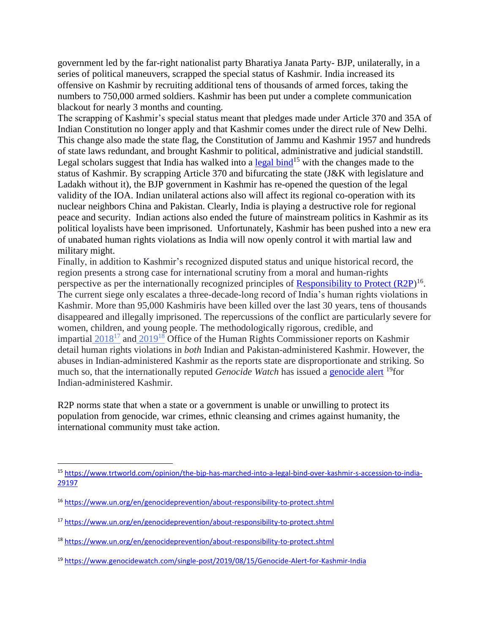government led by the far-right nationalist party Bharatiya Janata Party- BJP, unilaterally, in a series of political maneuvers, scrapped the special status of Kashmir. India increased its offensive on Kashmir by recruiting additional tens of thousands of armed forces, taking the numbers to 750,000 armed soldiers. Kashmir has been put under a complete communication blackout for nearly 3 months and counting.

The scrapping of Kashmir's special status meant that pledges made under Article 370 and 35A of Indian Constitution no longer apply and that Kashmir comes under the direct rule of New Delhi. This change also made the state flag, the Constitution of Jammu and Kashmir 1957 and hundreds of state laws redundant, and brought Kashmir to political, administrative and judicial standstill. Legal scholars suggest that India has walked into a  $\frac{\text{legal bind}}{15}$  with the changes made to the status of Kashmir. By scrapping Article 370 and bifurcating the state (J&K with legislature and Ladakh without it), the BJP government in Kashmir has re-opened the question of the legal validity of the IOA. Indian unilateral actions also will affect its regional co-operation with its nuclear neighbors China and Pakistan. Clearly, India is playing a destructive role for regional peace and security. Indian actions also ended the future of mainstream politics in Kashmir as its political loyalists have been imprisoned. Unfortunately, Kashmir has been pushed into a new era of unabated human rights violations as India will now openly control it with martial law and military might.

Finally, in addition to Kashmir's recognized disputed status and unique historical record, the region presents a strong case for international scrutiny from a moral and human-rights perspective as per the internationally recognized principles of [Responsibility to Protect \(R2P\)](https://www.un.org/en/genocideprevention/about-responsibility-to-protect.shtml)<sup>16</sup>. The current siege only escalates a three-decade-long record of India's human rights violations in Kashmir. More than 95,000 Kashmiris have been killed over the last 30 years, tens of thousands disappeared and illegally imprisoned. The repercussions of the conflict are particularly severe for women, children, and young people. The methodologically rigorous, credible, and impartial  $2018^{17}$  $2018^{17}$  and  $2019^{18}$  $2019^{18}$  Office of the Human Rights Commissioner reports on Kashmir detail human rights violations in *both* Indian and Pakistan-administered Kashmir. However, the abuses in Indian-administered Kashmir as the reports state are disproportionate and striking. So much so, that the internationally reputed *Genocide Watch* has issued a [genocide alert](https://www.genocidewatch.com/single-post/2019/08/15/Genocide-Alert-for-Kashmir-India) <sup>19</sup>for Indian-administered Kashmir.

R2P norms state that when a state or a government is unable or unwilling to protect its population from genocide, war crimes, ethnic cleansing and crimes against humanity, the international community must take action.

<sup>19</sup> <https://www.genocidewatch.com/single-post/2019/08/15/Genocide-Alert-for-Kashmir-India>

 $\overline{a}$ <sup>15</sup> [https://www.trtworld.com/opinion/the-bjp-has-marched-into-a-legal-bind-over-kashmir-s-accession-to-india-](https://www.trtworld.com/opinion/the-bjp-has-marched-into-a-legal-bind-over-kashmir-s-accession-to-india-29197)[29197](https://www.trtworld.com/opinion/the-bjp-has-marched-into-a-legal-bind-over-kashmir-s-accession-to-india-29197)

<sup>16</sup> <https://www.un.org/en/genocideprevention/about-responsibility-to-protect.shtml>

<sup>17</sup> <https://www.un.org/en/genocideprevention/about-responsibility-to-protect.shtml>

<sup>18</sup> <https://www.un.org/en/genocideprevention/about-responsibility-to-protect.shtml>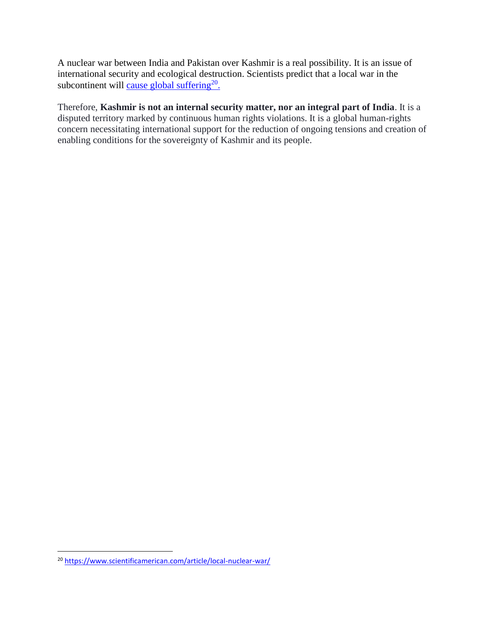A nuclear war between India and Pakistan over Kashmir is a real possibility. It is an issue of international security and ecological destruction. Scientists predict that a local war in the subcontinent will [cause global suffering](https://www.scientificamerican.com/article/local-nuclear-war/)<sup>20</sup>.

Therefore, **Kashmir is not an internal security matter, nor an integral part of India**. It is a disputed territory marked by continuous human rights violations. It is a global human-rights concern necessitating international support for the reduction of ongoing tensions and creation of enabling conditions for the sovereignty of Kashmir and its people.

 $\overline{a}$ <sup>20</sup> <https://www.scientificamerican.com/article/local-nuclear-war/>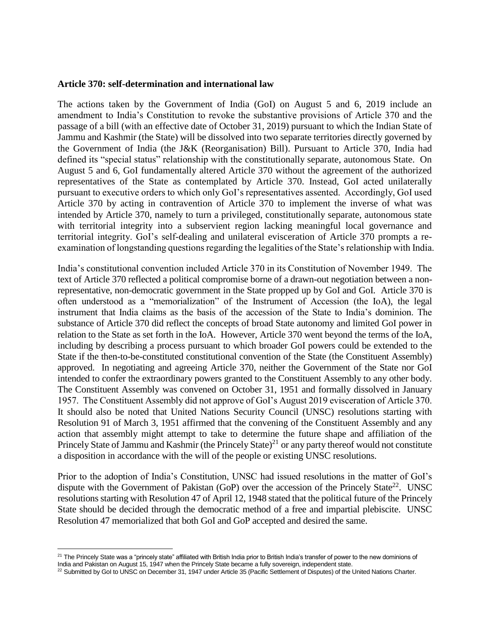### **Article 370: self-determination and international law**

The actions taken by the Government of India (GoI) on August 5 and 6, 2019 include an amendment to India's Constitution to revoke the substantive provisions of Article 370 and the passage of a bill (with an effective date of October 31, 2019) pursuant to which the Indian State of Jammu and Kashmir (the State) will be dissolved into two separate territories directly governed by the Government of India (the J&K (Reorganisation) Bill). Pursuant to Article 370, India had defined its "special status" relationship with the constitutionally separate, autonomous State. On August 5 and 6, GoI fundamentally altered Article 370 without the agreement of the authorized representatives of the State as contemplated by Article 370. Instead, GoI acted unilaterally pursuant to executive orders to which only GoI's representatives assented. Accordingly, GoI used Article 370 by acting in contravention of Article 370 to implement the inverse of what was intended by Article 370, namely to turn a privileged, constitutionally separate, autonomous state with territorial integrity into a subservient region lacking meaningful local governance and territorial integrity. GoI's self-dealing and unilateral evisceration of Article 370 prompts a reexamination of longstanding questions regarding the legalities of the State's relationship with India.

India's constitutional convention included Article 370 in its Constitution of November 1949. The text of Article 370 reflected a political compromise borne of a drawn-out negotiation between a nonrepresentative, non-democratic government in the State propped up by GoI and GoI. Article 370 is often understood as a "memorialization" of the Instrument of Accession (the IoA), the legal instrument that India claims as the basis of the accession of the State to India's dominion. The substance of Article 370 did reflect the concepts of broad State autonomy and limited GoI power in relation to the State as set forth in the IoA. However, Article 370 went beyond the terms of the IoA, including by describing a process pursuant to which broader GoI powers could be extended to the State if the then-to-be-constituted constitutional convention of the State (the Constituent Assembly) approved. In negotiating and agreeing Article 370, neither the Government of the State nor GoI intended to confer the extraordinary powers granted to the Constituent Assembly to any other body. The Constituent Assembly was convened on October 31, 1951 and formally dissolved in January 1957. The Constituent Assembly did not approve of GoI's August 2019 evisceration of Article 370. It should also be noted that United Nations Security Council (UNSC) resolutions starting with Resolution 91 of March 3, 1951 affirmed that the convening of the Constituent Assembly and any action that assembly might attempt to take to determine the future shape and affiliation of the Princely State of Jammu and Kashmir (the Princely State)<sup>21</sup> or any party thereof would not constitute a disposition in accordance with the will of the people or existing UNSC resolutions.

Prior to the adoption of India's Constitution, UNSC had issued resolutions in the matter of GoI's dispute with the Government of Pakistan  $(GoP)$  over the accession of the Princely State<sup>22</sup>. UNSC resolutions starting with Resolution 47 of April 12, 1948 stated that the political future of the Princely State should be decided through the democratic method of a free and impartial plebiscite. UNSC Resolution 47 memorialized that both GoI and GoP accepted and desired the same.

 $\overline{a}$  $^{21}$  The Princely State was a "princely state" affiliated with British India prior to British India's transfer of power to the new dominions of India and Pakistan on August 15, 1947 when the Princely State became a fully sovereign, independent state.

<sup>&</sup>lt;sup>22</sup> Submitted by GoI to UNSC on December 31, 1947 under Article 35 (Pacific Settlement of Disputes) of the United Nations Charter.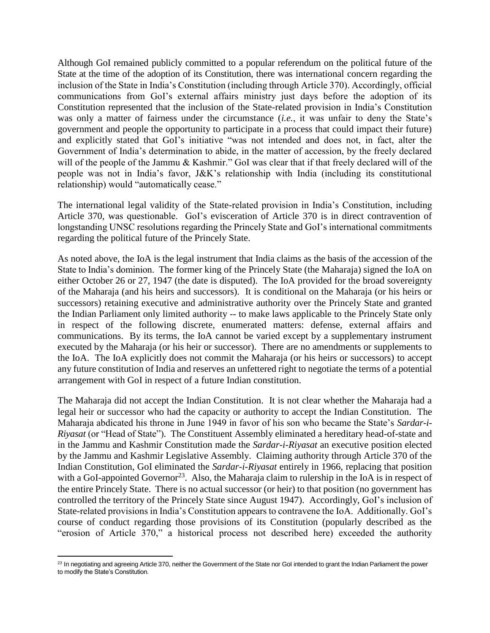Although GoI remained publicly committed to a popular referendum on the political future of the State at the time of the adoption of its Constitution, there was international concern regarding the inclusion of the State in India's Constitution (including through Article 370). Accordingly, official communications from GoI's external affairs ministry just days before the adoption of its Constitution represented that the inclusion of the State-related provision in India's Constitution was only a matter of fairness under the circumstance (*i.e.*, it was unfair to deny the State's government and people the opportunity to participate in a process that could impact their future) and explicitly stated that GoI's initiative "was not intended and does not, in fact, alter the Government of India's determination to abide, in the matter of accession, by the freely declared will of the people of the Jammu & Kashmir." GoI was clear that if that freely declared will of the people was not in India's favor, J&K's relationship with India (including its constitutional relationship) would "automatically cease."

The international legal validity of the State-related provision in India's Constitution, including Article 370, was questionable. GoI's evisceration of Article 370 is in direct contravention of longstanding UNSC resolutions regarding the Princely State and GoI's international commitments regarding the political future of the Princely State.

As noted above, the IoA is the legal instrument that India claims as the basis of the accession of the State to India's dominion. The former king of the Princely State (the Maharaja) signed the IoA on either October 26 or 27, 1947 (the date is disputed). The IoA provided for the broad sovereignty of the Maharaja (and his heirs and successors). It is conditional on the Maharaja (or his heirs or successors) retaining executive and administrative authority over the Princely State and granted the Indian Parliament only limited authority -- to make laws applicable to the Princely State only in respect of the following discrete, enumerated matters: defense, external affairs and communications. By its terms, the IoA cannot be varied except by a supplementary instrument executed by the Maharaja (or his heir or successor). There are no amendments or supplements to the IoA. The IoA explicitly does not commit the Maharaja (or his heirs or successors) to accept any future constitution of India and reserves an unfettered right to negotiate the terms of a potential arrangement with GoI in respect of a future Indian constitution.

The Maharaja did not accept the Indian Constitution. It is not clear whether the Maharaja had a legal heir or successor who had the capacity or authority to accept the Indian Constitution. The Maharaja abdicated his throne in June 1949 in favor of his son who became the State's *Sardar-i-Riyasat* (or "Head of State"). The Constituent Assembly eliminated a hereditary head-of-state and in the Jammu and Kashmir Constitution made the *Sardar-i-Riyasat* an executive position elected by the Jammu and Kashmir Legislative Assembly. Claiming authority through Article 370 of the Indian Constitution, GoI eliminated the *Sardar-i-Riyasat* entirely in 1966, replacing that position with a GoI-appointed Governor<sup>23</sup>. Also, the Maharaja claim to rulership in the IoA is in respect of the entire Princely State. There is no actual successor (or heir) to that position (no government has controlled the territory of the Princely State since August 1947). Accordingly, GoI's inclusion of State-related provisions in India's Constitution appears to contravene the IoA. Additionally. GoI's course of conduct regarding those provisions of its Constitution (popularly described as the "erosion of Article 370," a historical process not described here) exceeded the authority

 $\overline{a}$ <sup>23</sup> In negotiating and agreeing Article 370, neither the Government of the State nor GoI intended to grant the Indian Parliament the power to modify the State's Constitution.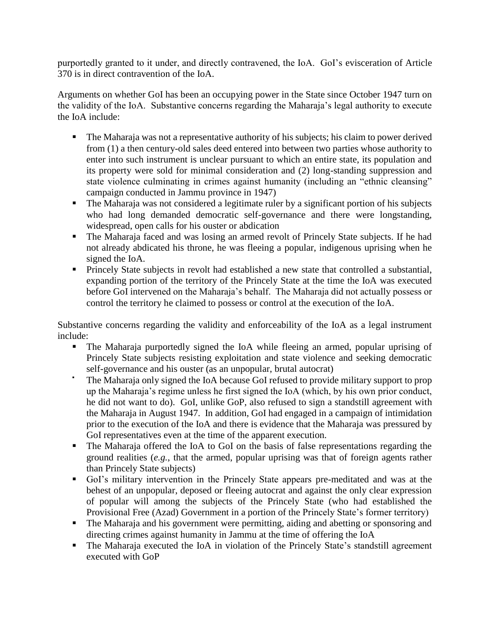purportedly granted to it under, and directly contravened, the IoA. GoI's evisceration of Article 370 is in direct contravention of the IoA.

Arguments on whether GoI has been an occupying power in the State since October 1947 turn on the validity of the IoA. Substantive concerns regarding the Maharaja's legal authority to execute the IoA include:

- The Maharaja was not a representative authority of his subjects; his claim to power derived from (1) a then century-old sales deed entered into between two parties whose authority to enter into such instrument is unclear pursuant to which an entire state, its population and its property were sold for minimal consideration and (2) long-standing suppression and state violence culminating in crimes against humanity (including an "ethnic cleansing" campaign conducted in Jammu province in 1947)
- The Maharaja was not considered a legitimate ruler by a significant portion of his subjects who had long demanded democratic self-governance and there were longstanding, widespread, open calls for his ouster or abdication
- The Maharaja faced and was losing an armed revolt of Princely State subjects. If he had not already abdicated his throne, he was fleeing a popular, indigenous uprising when he signed the IoA.
- Princely State subjects in revolt had established a new state that controlled a substantial, expanding portion of the territory of the Princely State at the time the IoA was executed before GoI intervened on the Maharaja's behalf. The Maharaja did not actually possess or control the territory he claimed to possess or control at the execution of the IoA.

Substantive concerns regarding the validity and enforceability of the IoA as a legal instrument include:

- The Maharaja purportedly signed the IoA while fleeing an armed, popular uprising of Princely State subjects resisting exploitation and state violence and seeking democratic self-governance and his ouster (as an unpopular, brutal autocrat)
- The Maharaja only signed the IoA because GoI refused to provide military support to prop up the Maharaja's regime unless he first signed the IoA (which, by his own prior conduct, he did not want to do). GoI, unlike GoP, also refused to sign a standstill agreement with the Maharaja in August 1947. In addition, GoI had engaged in a campaign of intimidation prior to the execution of the IoA and there is evidence that the Maharaja was pressured by GoI representatives even at the time of the apparent execution.
- The Maharaja offered the IoA to GoI on the basis of false representations regarding the ground realities (*e.g.*, that the armed, popular uprising was that of foreign agents rather than Princely State subjects)
- GoI's military intervention in the Princely State appears pre-meditated and was at the behest of an unpopular, deposed or fleeing autocrat and against the only clear expression of popular will among the subjects of the Princely State (who had established the Provisional Free (Azad) Government in a portion of the Princely State's former territory)
- The Maharaja and his government were permitting, aiding and abetting or sponsoring and directing crimes against humanity in Jammu at the time of offering the IoA
- The Maharaja executed the IoA in violation of the Princely State's standstill agreement executed with GoP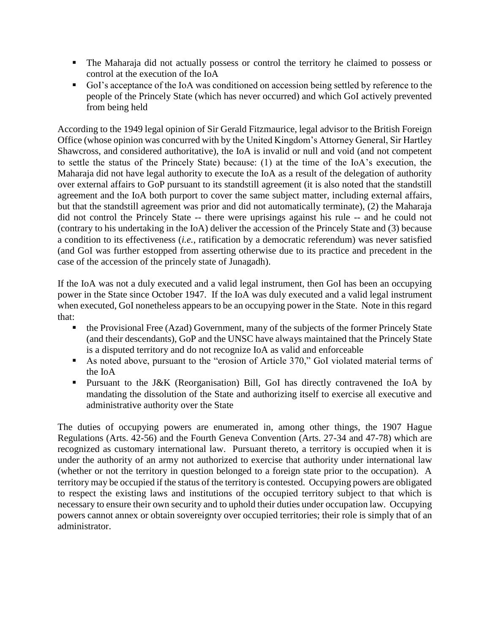- The Maharaja did not actually possess or control the territory he claimed to possess or control at the execution of the IoA
- GoI's acceptance of the IoA was conditioned on accession being settled by reference to the people of the Princely State (which has never occurred) and which GoI actively prevented from being held

According to the 1949 legal opinion of Sir Gerald Fitzmaurice, legal advisor to the British Foreign Office (whose opinion was concurred with by the United Kingdom's Attorney General, Sir Hartley Shawcross, and considered authoritative), the IoA is invalid or null and void (and not competent to settle the status of the Princely State) because: (1) at the time of the IoA's execution, the Maharaja did not have legal authority to execute the IoA as a result of the delegation of authority over external affairs to GoP pursuant to its standstill agreement (it is also noted that the standstill agreement and the IoA both purport to cover the same subject matter, including external affairs, but that the standstill agreement was prior and did not automatically terminate), (2) the Maharaja did not control the Princely State -- there were uprisings against his rule -- and he could not (contrary to his undertaking in the IoA) deliver the accession of the Princely State and (3) because a condition to its effectiveness (*i.e.*, ratification by a democratic referendum) was never satisfied (and GoI was further estopped from asserting otherwise due to its practice and precedent in the case of the accession of the princely state of Junagadh).

If the IoA was not a duly executed and a valid legal instrument, then GoI has been an occupying power in the State since October 1947. If the IoA was duly executed and a valid legal instrument when executed, GoI nonetheless appears to be an occupying power in the State. Note in this regard that:

- the Provisional Free (Azad) Government, many of the subjects of the former Princely State (and their descendants), GoP and the UNSC have always maintained that the Princely State is a disputed territory and do not recognize IoA as valid and enforceable
- As noted above, pursuant to the "erosion of Article 370," GoI violated material terms of the IoA
- Pursuant to the J&K (Reorganisation) Bill, GoI has directly contravened the IoA by mandating the dissolution of the State and authorizing itself to exercise all executive and administrative authority over the State

The duties of occupying powers are enumerated in, among other things, the 1907 Hague Regulations (Arts. 42-56) and the Fourth Geneva Convention (Arts. 27-34 and 47-78) which are recognized as customary international law. Pursuant thereto, a territory is occupied when it is under the authority of an army not authorized to exercise that authority under international law (whether or not the territory in question belonged to a foreign state prior to the occupation). A territory may be occupied if the status of the territory is contested. Occupying powers are obligated to respect the existing laws and institutions of the occupied territory subject to that which is necessary to ensure their own security and to uphold their duties under occupation law. Occupying powers cannot annex or obtain sovereignty over occupied territories; their role is simply that of an administrator.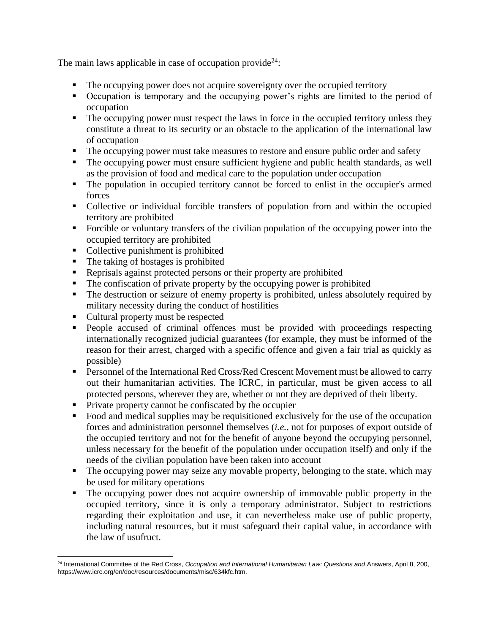The main laws applicable in case of occupation provide<sup>24</sup>:

- The occupying power does not acquire sovereignty over the occupied territory
- Occupation is temporary and the occupying power's rights are limited to the period of occupation
- The occupying power must respect the laws in force in the occupied territory unless they constitute a threat to its security or an obstacle to the application of the international law of occupation
- The occupying power must take measures to restore and ensure public order and safety
- The occupying power must ensure sufficient hygiene and public health standards, as well as the provision of food and medical care to the population under occupation
- The population in occupied territory cannot be forced to enlist in the occupier's armed forces
- Collective or individual forcible transfers of population from and within the occupied territory are prohibited
- Forcible or voluntary transfers of the civilian population of the occupying power into the occupied territory are prohibited
- Collective punishment is prohibited
- $\blacksquare$  The taking of hostages is prohibited
- Reprisals against protected persons or their property are prohibited
- The confiscation of private property by the occupying power is prohibited
- The destruction or seizure of enemy property is prohibited, unless absolutely required by military necessity during the conduct of hostilities
- Cultural property must be respected
- People accused of criminal offences must be provided with proceedings respecting internationally recognized judicial guarantees (for example, they must be informed of the reason for their arrest, charged with a specific offence and given a fair trial as quickly as possible)
- **Personnel of the International Red Cross/Red Crescent Movement must be allowed to carry** out their humanitarian activities. The ICRC, in particular, must be given access to all protected persons, wherever they are, whether or not they are deprived of their liberty.
- **Private property cannot be confiscated by the occupier**
- Food and medical supplies may be requisitioned exclusively for the use of the occupation forces and administration personnel themselves (*i.e.*, not for purposes of export outside of the occupied territory and not for the benefit of anyone beyond the occupying personnel, unless necessary for the benefit of the population under occupation itself) and only if the needs of the civilian population have been taken into account
- The occupying power may seize any movable property, belonging to the state, which may be used for military operations
- The occupying power does not acquire ownership of immovable public property in the occupied territory, since it is only a temporary administrator. Subject to restrictions regarding their exploitation and use, it can nevertheless make use of public property, including natural resources, but it must safeguard their capital value, in accordance with the law of usufruct.

 $\overline{a}$ <sup>24</sup> International Committee of the Red Cross, *Occupation and International Humanitarian Law: Questions and* Answers, April 8, 200, https://www.icrc.org/en/doc/resources/documents/misc/634kfc.htm.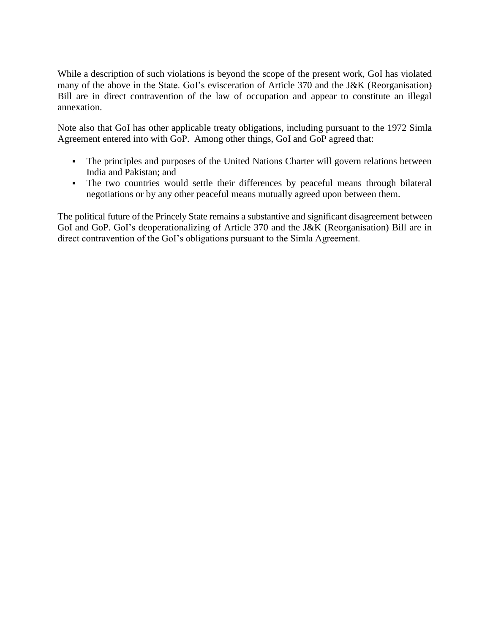While a description of such violations is beyond the scope of the present work, GoI has violated many of the above in the State. GoI's evisceration of Article 370 and the J&K (Reorganisation) Bill are in direct contravention of the law of occupation and appear to constitute an illegal annexation.

Note also that GoI has other applicable treaty obligations, including pursuant to the 1972 Simla Agreement entered into with GoP. Among other things, GoI and GoP agreed that:

- The principles and purposes of the United Nations Charter will govern relations between India and Pakistan; and
- The two countries would settle their differences by peaceful means through bilateral negotiations or by any other peaceful means mutually agreed upon between them.

<span id="page-16-0"></span>The political future of the Princely State remains a substantive and significant disagreement between GoI and GoP. GoI's deoperationalizing of Article 370 and the J&K (Reorganisation) Bill are in direct contravention of the GoI's obligations pursuant to the Simla Agreement.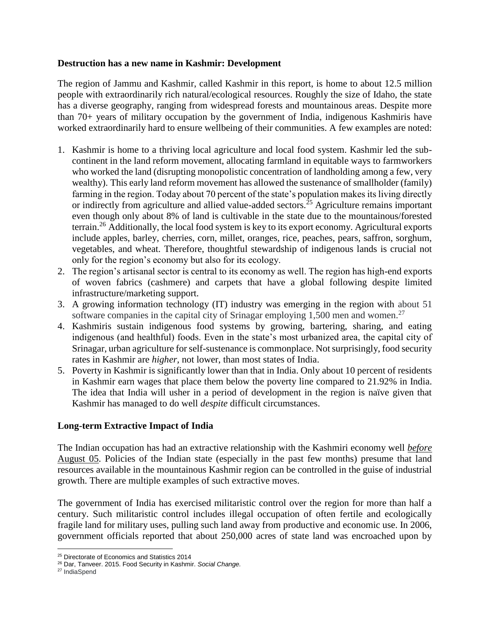## **Destruction has a new name in Kashmir: Development**

The region of Jammu and Kashmir, called Kashmir in this report, is home to about 12.5 million people with extraordinarily rich natural/ecological resources. Roughly the size of Idaho, the state has a diverse geography, ranging from widespread forests and mountainous areas. Despite more than 70+ years of military occupation by the government of India, indigenous Kashmiris have worked extraordinarily hard to ensure wellbeing of their communities. A few examples are noted:

- 1. Kashmir is home to a thriving local agriculture and local food system. Kashmir led the subcontinent in the land reform movement, allocating farmland in equitable ways to farmworkers who worked the land (disrupting monopolistic concentration of landholding among a few, very wealthy). This early land reform movement has allowed the sustenance of smallholder (family) farming in the region. Today about 70 percent of the state's population makes its living directly or indirectly from agriculture and allied value-added sectors.<sup>25</sup> Agriculture remains important even though only about 8% of land is cultivable in the state due to the mountainous/forested terrain.<sup>26</sup> Additionally, the local food system is key to its export economy. Agricultural exports include apples, barley, cherries, corn, millet, oranges, rice, peaches, pears, saffron, sorghum, vegetables, and wheat. Therefore, thoughtful stewardship of indigenous lands is crucial not only for the region's economy but also for its ecology.
- 2. The region's artisanal sector is central to its economy as well. The region has high-end exports of woven fabrics (cashmere) and carpets that have a global following despite limited infrastructure/marketing support.
- 3. A growing information technology (IT) industry was emerging in the region with about 51 software companies in the capital city of Srinagar employing 1,500 men and women.<sup>27</sup>
- 4. Kashmiris sustain indigenous food systems by growing, bartering, sharing, and eating indigenous (and healthful) foods. Even in the state's most urbanized area, the capital city of Srinagar, urban agriculture for self-sustenance is commonplace. Not surprisingly, food security rates in Kashmir are *higher,* not lower, than most states of India.
- 5. Poverty in Kashmir is significantly lower than that in India. Only about 10 percent of residents in Kashmir earn wages that place them below the poverty line compared to 21.92% in India. The idea that India will usher in a period of development in the region is naïve given that Kashmir has managed to do well *despite* difficult circumstances.

# **Long-term Extractive Impact of India**

The Indian occupation has had an extractive relationship with the Kashmiri economy well *before* August 05. Policies of the Indian state (especially in the past few months) presume that land resources available in the mountainous Kashmir region can be controlled in the guise of industrial growth. There are multiple examples of such extractive moves.

The government of India has exercised militaristic control over the region for more than half a century. Such militaristic control includes illegal occupation of often fertile and ecologically fragile land for military uses, pulling such land away from productive and economic use. In 2006, government officials reported that about 250,000 acres of state land was encroached upon by

 $\overline{a}$ <sup>25</sup> Directorate of Economics and Statistics 2014

<sup>26</sup> Dar, Tanveer. 2015. Food Security in Kashmir. *Social Change.* 

<sup>27</sup> IndiaSpend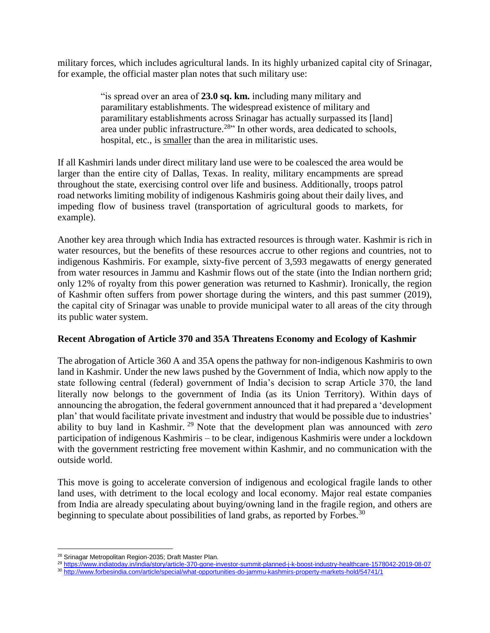military forces, which includes agricultural lands. In its highly urbanized capital city of Srinagar, for example, the official master plan notes that such military use:

> "is spread over an area of **23.0 sq. km.** including many military and paramilitary establishments. The widespread existence of military and paramilitary establishments across Srinagar has actually surpassed its [land] area under public infrastructure.<sup>28</sup><sup>28</sup> In other words, area dedicated to schools, hospital, etc., is smaller than the area in militaristic uses.

If all Kashmiri lands under direct military land use were to be coalesced the area would be larger than the entire city of Dallas, Texas. In reality, military encampments are spread throughout the state, exercising control over life and business. Additionally, troops patrol road networks limiting mobility of indigenous Kashmiris going about their daily lives, and impeding flow of business travel (transportation of agricultural goods to markets, for example).

Another key area through which India has extracted resources is through water. Kashmir is rich in water resources, but the benefits of these resources accrue to other regions and countries, not to indigenous Kashmiris. For example, sixty-five percent of 3,593 megawatts of energy generated from water resources in Jammu and Kashmir flows out of the state (into the Indian northern grid; only 12% of royalty from this power generation was returned to Kashmir). Ironically, the region of Kashmir often suffers from power shortage during the winters, and this past summer (2019), the capital city of Srinagar was unable to provide municipal water to all areas of the city through its public water system.

### **Recent Abrogation of Article 370 and 35A Threatens Economy and Ecology of Kashmir**

The abrogation of Article 360 A and 35A opens the pathway for non-indigenous Kashmiris to own land in Kashmir. Under the new laws pushed by the Government of India, which now apply to the state following central (federal) government of India's decision to scrap Article 370, the land literally now belongs to the government of India (as its Union Territory). Within days of announcing the abrogation, the federal government announced that it had prepared a 'development plan' that would facilitate private investment and industry that would be possible due to industries' ability to buy land in Kashmir. <sup>29</sup> Note that the development plan was announced with *zero* participation of indigenous Kashmiris – to be clear, indigenous Kashmiris were under a lockdown with the government restricting free movement within Kashmir, and no communication with the outside world.

This move is going to accelerate conversion of indigenous and ecological fragile lands to other land uses, with detriment to the local ecology and local economy. Major real estate companies from India are already speculating about buying/owning land in the fragile region, and others are beginning to speculate about possibilities of land grabs, as reported by Forbes.<sup>30</sup>

 $\overline{a}$ <sup>28</sup> Srinagar Metropolitan Region-2035; Draft Master Plan.

<sup>29</sup> <https://www.indiatoday.in/india/story/article-370-gone-investor-summit-planned-j-k-boost-industry-healthcare-1578042-2019-08-07>

<sup>30</sup> <http://www.forbesindia.com/article/special/what-opportunities-do-jammu-kashmirs-property-markets-hold/54741/1>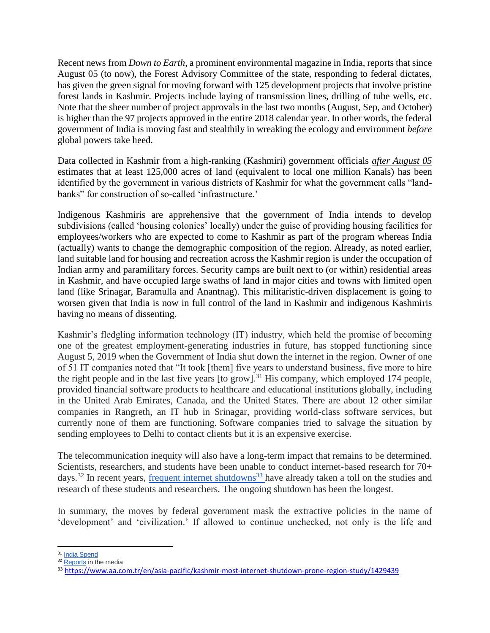Recent news from *Down to Earth*, a prominent environmental magazine in India, reports that since August 05 (to now), the Forest Advisory Committee of the state, responding to federal dictates, has given the green signal for moving forward with 125 development projects that involve pristine forest lands in Kashmir. Projects include laying of transmission lines, drilling of tube wells, etc. Note that the sheer number of project approvals in the last two months (August, Sep, and October) is higher than the 97 projects approved in the entire 2018 calendar year. In other words, the federal government of India is moving fast and stealthily in wreaking the ecology and environment *before* global powers take heed.

Data collected in Kashmir from a high-ranking (Kashmiri) government officials *after August 05* estimates that at least 125,000 acres of land (equivalent to local one million Kanals) has been identified by the government in various districts of Kashmir for what the government calls "landbanks" for construction of so-called 'infrastructure.'

Indigenous Kashmiris are apprehensive that the government of India intends to develop subdivisions (called 'housing colonies' locally) under the guise of providing housing facilities for employees/workers who are expected to come to Kashmir as part of the program whereas India (actually) wants to change the demographic composition of the region. Already, as noted earlier, land suitable land for housing and recreation across the Kashmir region is under the occupation of Indian army and paramilitary forces. Security camps are built next to (or within) residential areas in Kashmir, and have occupied large swaths of land in major cities and towns with limited open land (like Srinagar, Baramulla and Anantnag). This militaristic-driven displacement is going to worsen given that India is now in full control of the land in Kashmir and indigenous Kashmiris having no means of dissenting.

Kashmir's fledgling information technology (IT) industry, which held the promise of becoming one of the greatest employment-generating industries in future, has stopped functioning since August 5, 2019 when the Government of India shut down the internet in the region. Owner of one of 51 IT companies noted that "It took [them] five years to understand business, five more to hire the right people and in the last five years [to grow].<sup>31</sup> His company, which employed 174 people, provided financial software products to healthcare and educational institutions globally, including in the United Arab Emirates, Canada, and the United States. There are about 12 other similar companies in Rangreth, an IT hub in Srinagar, providing world-class software services, but currently none of them are functioning. Software companies tried to salvage the situation by sending employees to Delhi to contact clients but it is an expensive exercise.

The telecommunication inequity will also have a long-term impact that remains to be determined. Scientists, researchers, and students have been unable to conduct internet-based research for 70+ days.<sup>32</sup> In recent years, [frequent internet shutdowns](https://www.aa.com.tr/en/asia-pacific/kashmir-most-internet-shutdown-prone-region-study/1429439)<sup>33</sup> have already taken a toll on the studies and research of these students and researchers. The ongoing shutdown has been the longest.

In summary, the moves by federal government mask the extractive policies in the name of 'development' and 'civilization.' If allowed to continue unchecked, not only is the life and

 $\overline{a}$ <sup>31</sup> [India Spend](https://www.indiaspend.com/we-will-not-survive-this-disaster-kashmiri-entrepreneurs-as-lockdown-continues/)

<sup>&</sup>lt;sup>32</sup> [Reports](https://www.the-scientist.com/news-opinion/science-in-indias-kashmir-valley-in-jeopardy-66487) in the media

<sup>33</sup> <https://www.aa.com.tr/en/asia-pacific/kashmir-most-internet-shutdown-prone-region-study/1429439>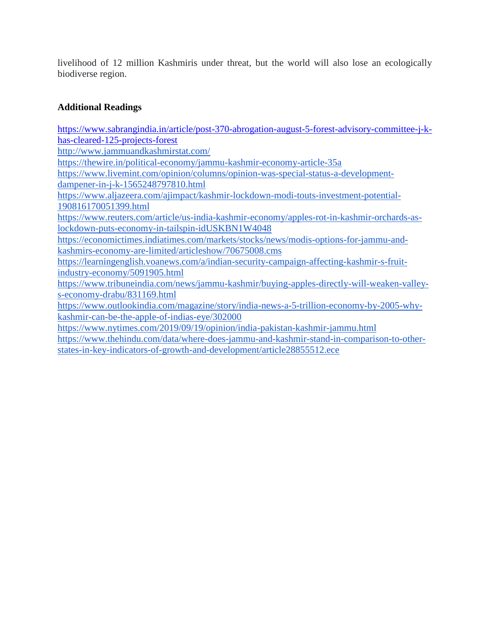livelihood of 12 million Kashmiris under threat, but the world will also lose an ecologically biodiverse region.

# **Additional Readings**

[https://www.sabrangindia.in/article/post-370-abrogation-august-5-forest-advisory-committee-j-k](https://www.sabrangindia.in/article/post-370-abrogation-august-5-forest-advisory-committee-j-k-has-cleared-125-projects-forest)[has-cleared-125-projects-forest](https://www.sabrangindia.in/article/post-370-abrogation-august-5-forest-advisory-committee-j-k-has-cleared-125-projects-forest) <http://www.jammuandkashmirstat.com/> <https://thewire.in/political-economy/jammu-kashmir-economy-article-35a> [https://www.livemint.com/opinion/columns/opinion-was-special-status-a-development](https://www.livemint.com/opinion/columns/opinion-was-special-status-a-development-dampener-in-j-k-1565248797810.html)[dampener-in-j-k-1565248797810.html](https://www.livemint.com/opinion/columns/opinion-was-special-status-a-development-dampener-in-j-k-1565248797810.html) [https://www.aljazeera.com/ajimpact/kashmir-lockdown-modi-touts-investment-potential-](https://www.aljazeera.com/ajimpact/kashmir-lockdown-modi-touts-investment-potential-190816170051399.html)[190816170051399.html](https://www.aljazeera.com/ajimpact/kashmir-lockdown-modi-touts-investment-potential-190816170051399.html) [https://www.reuters.com/article/us-india-kashmir-economy/apples-rot-in-kashmir-orchards-as](https://www.reuters.com/article/us-india-kashmir-economy/apples-rot-in-kashmir-orchards-as-lockdown-puts-economy-in-tailspin-idUSKBN1W4048)[lockdown-puts-economy-in-tailspin-idUSKBN1W4048](https://www.reuters.com/article/us-india-kashmir-economy/apples-rot-in-kashmir-orchards-as-lockdown-puts-economy-in-tailspin-idUSKBN1W4048) [https://economictimes.indiatimes.com/markets/stocks/news/modis-options-for-jammu-and](https://economictimes.indiatimes.com/markets/stocks/news/modis-options-for-jammu-and-kashmirs-economy-are-limited/articleshow/70675008.cms)[kashmirs-economy-are-limited/articleshow/70675008.cms](https://economictimes.indiatimes.com/markets/stocks/news/modis-options-for-jammu-and-kashmirs-economy-are-limited/articleshow/70675008.cms) [https://learningenglish.voanews.com/a/indian-security-campaign-affecting-kashmir-s-fruit](https://learningenglish.voanews.com/a/indian-security-campaign-affecting-kashmir-s-fruit-industry-economy/5091905.html)[industry-economy/5091905.html](https://learningenglish.voanews.com/a/indian-security-campaign-affecting-kashmir-s-fruit-industry-economy/5091905.html) [https://www.tribuneindia.com/news/jammu-kashmir/buying-apples-directly-will-weaken-valley](https://www.tribuneindia.com/news/jammu-kashmir/buying-apples-directly-will-weaken-valley-s-economy-drabu/831169.html)[s-economy-drabu/831169.html](https://www.tribuneindia.com/news/jammu-kashmir/buying-apples-directly-will-weaken-valley-s-economy-drabu/831169.html) [https://www.outlookindia.com/magazine/story/india-news-a-5-trillion-economy-by-2005-why](https://www.outlookindia.com/magazine/story/india-news-a-5-trillion-economy-by-2005-why-kashmir-can-be-the-apple-of-indias-eye/302000)[kashmir-can-be-the-apple-of-indias-eye/302000](https://www.outlookindia.com/magazine/story/india-news-a-5-trillion-economy-by-2005-why-kashmir-can-be-the-apple-of-indias-eye/302000) <https://www.nytimes.com/2019/09/19/opinion/india-pakistan-kashmir-jammu.html> [https://www.thehindu.com/data/where-does-jammu-and-kashmir-stand-in-comparison-to-other-](https://www.thehindu.com/data/where-does-jammu-and-kashmir-stand-in-comparison-to-other-states-in-key-indicators-of-growth-and-development/article28855512.ece)

[states-in-key-indicators-of-growth-and-development/article28855512.ece](https://www.thehindu.com/data/where-does-jammu-and-kashmir-stand-in-comparison-to-other-states-in-key-indicators-of-growth-and-development/article28855512.ece)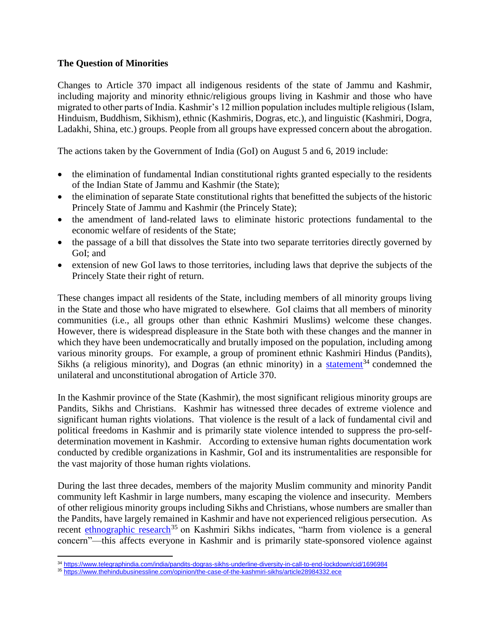## <span id="page-21-0"></span>**The Question of Minorities**

Changes to Article 370 impact all indigenous residents of the state of Jammu and Kashmir, including majority and minority ethnic/religious groups living in Kashmir and those who have migrated to other parts of India. Kashmir's 12 million population includes multiple religious (Islam, Hinduism, Buddhism, Sikhism), ethnic (Kashmiris, Dogras, etc.), and linguistic (Kashmiri, Dogra, Ladakhi, Shina, etc.) groups. People from all groups have expressed concern about the abrogation.

The actions taken by the Government of India (GoI) on August 5 and 6, 2019 include:

- the elimination of fundamental Indian constitutional rights granted especially to the residents of the Indian State of Jammu and Kashmir (the State);
- the elimination of separate State constitutional rights that benefitted the subjects of the historic Princely State of Jammu and Kashmir (the Princely State);
- the amendment of land-related laws to eliminate historic protections fundamental to the economic welfare of residents of the State;
- the passage of a bill that dissolves the State into two separate territories directly governed by GoI; and
- extension of new GoI laws to those territories, including laws that deprive the subjects of the Princely State their right of return.

These changes impact all residents of the State, including members of all minority groups living in the State and those who have migrated to elsewhere. GoI claims that all members of minority communities (i.e., all groups other than ethnic Kashmiri Muslims) welcome these changes. However, there is widespread displeasure in the State both with these changes and the manner in which they have been undemocratically and brutally imposed on the population, including among various minority groups. For example, a group of prominent ethnic Kashmiri Hindus (Pandits), Sikhs (a religious minority), and Dogras (an ethnic minority) in a [statement](https://www.telegraphindia.com/india/pandits-dogras-sikhs-underline-diversity-in-call-to-end-lockdown/cid/1696984)<sup>34</sup> condemned the unilateral and unconstitutional abrogation of Article 370.

In the Kashmir province of the State (Kashmir), the most significant religious minority groups are Pandits, Sikhs and Christians. Kashmir has witnessed three decades of extreme violence and significant human rights violations. That violence is the result of a lack of fundamental civil and political freedoms in Kashmir and is primarily state violence intended to suppress the pro-selfdetermination movement in Kashmir. According to extensive human rights documentation work conducted by credible organizations in Kashmir, GoI and its instrumentalities are responsible for the vast majority of those human rights violations.

During the last three decades, members of the majority Muslim community and minority Pandit community left Kashmir in large numbers, many escaping the violence and insecurity. Members of other religious minority groups including Sikhs and Christians, whose numbers are smaller than the Pandits, have largely remained in Kashmir and have not experienced religious persecution. As recent [ethnographic research](https://www.thehindubusinessline.com/opinion/the-case-of-the-kashmiri-sikhs/article28984332.ece)<sup>35</sup> on Kashmiri Sikhs indicates, "harm from violence is a general concern"—this affects everyone in Kashmir and is primarily state-sponsored violence against

 $\overline{a}$ <sup>34</sup> <https://www.telegraphindia.com/india/pandits-dogras-sikhs-underline-diversity-in-call-to-end-lockdown/cid/1696984>

<sup>35</sup> <https://www.thehindubusinessline.com/opinion/the-case-of-the-kashmiri-sikhs/article28984332.ece>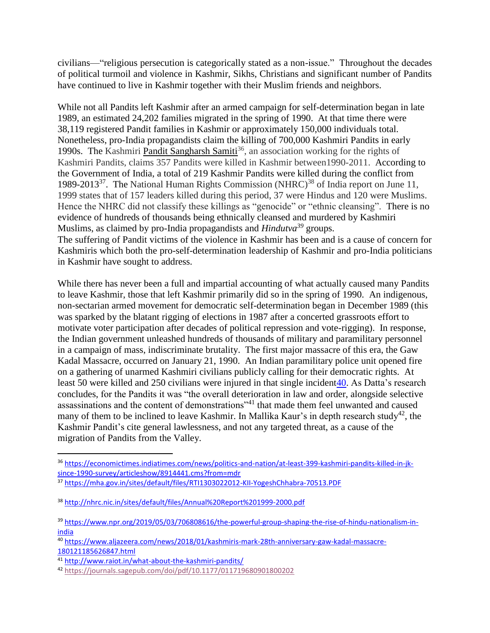civilians—"religious persecution is categorically stated as a non-issue." Throughout the decades of political turmoil and violence in Kashmir, Sikhs, Christians and significant number of Pandits have continued to live in Kashmir together with their Muslim friends and neighbors.

While not all Pandits left Kashmir after an armed campaign for self-determination began in late 1989, an estimated 24,202 families migrated in the spring of 1990. At that time there were 38,119 registered Pandit families in Kashmir or approximately 150,000 individuals total. Nonetheless, pro-India propagandists claim the killing of 700,000 Kashmiri Pandits in early 1990s. The Kashmiri [Pandit Sangharsh Samiti](https://economictimes.indiatimes.com/news/politics-and-nation/at-least-399-kashmiri-pandits-killed-in-jk-since-1990-survey/articleshow/8914441.cms?from=mdr)<sup>36</sup>, an association working for the rights of Kashmiri Pandits, claims 357 Pandits were killed in Kashmir between1990-2011. According to the Government of India, a total of 219 Kashmir Pandits were killed during the conflict from 1989-2013<sup>37</sup>. The National Human Rights Commission (NHRC)<sup>38</sup> of India report on June 11, 1999 states that of 157 leaders killed during this period, 37 were Hindus and 120 were Muslims. Hence the NHRC did not classify these killings as "genocide" or "ethnic cleansing". There is no evidence of hundreds of thousands being ethnically cleansed and murdered by Kashmiri Muslims, as claimed by pro-India propagandists and *Hindutva<sup>39</sup>* groups.

The suffering of Pandit victims of the violence in Kashmir has been and is a cause of concern for Kashmiris which both the pro-self-determination leadership of Kashmir and pro-India politicians in Kashmir have sought to address.

While there has never been a full and impartial accounting of what actually caused many Pandits to leave Kashmir, those that left Kashmir primarily did so in the spring of 1990. An indigenous, non-sectarian armed movement for democratic self-determination began in December 1989 (this was sparked by the blatant rigging of elections in 1987 after a concerted grassroots effort to motivate voter participation after decades of political repression and vote-rigging). In response, the Indian government unleashed hundreds of thousands of military and paramilitary personnel in a campaign of mass, indiscriminate brutality. The first major massacre of this era, the Gaw Kadal Massacre, occurred on January 21, 1990. An Indian paramilitary police unit opened fire on a gathering of unarmed Kashmiri civilians publicly calling for their democratic rights. At least 50 were killed and 250 civilians were injured in that single incident40. As Datta's research concludes, for the Pandits it was "the overall deterioration in law and order, alongside selective assassinations and the content of demonstrations"<sup>41</sup> that made them feel unwanted and caused many of them to be inclined to leave Kashmir. In Mallika Kaur's in depth research study<sup>42</sup>, the Kashmir Pandit's cite general lawlessness, and not any targeted threat, as a cause of the migration of Pandits from the Valley.

 $\overline{a}$ <sup>36</sup> [https://economictimes.indiatimes.com/news/politics-and-nation/at-least-399-kashmiri-pandits-killed-in-jk](https://economictimes.indiatimes.com/news/politics-and-nation/at-least-399-kashmiri-pandits-killed-in-jk-since-1990-survey/articleshow/8914441.cms?from=mdr)[since-1990-survey/articleshow/8914441.cms?from=mdr](https://economictimes.indiatimes.com/news/politics-and-nation/at-least-399-kashmiri-pandits-killed-in-jk-since-1990-survey/articleshow/8914441.cms?from=mdr)

<sup>37</sup> <https://mha.gov.in/sites/default/files/RTI1303022012-KII-YogeshChhabra-70513.PDF>

<sup>38</sup> <http://nhrc.nic.in/sites/default/files/Annual%20Report%201999-2000.pdf>

<sup>39</sup> [https://www.npr.org/2019/05/03/706808616/the-powerful-group-shaping-the-rise-of-hindu-nationalism-in](https://www.npr.org/2019/05/03/706808616/the-powerful-group-shaping-the-rise-of-hindu-nationalism-in-india)[india](https://www.npr.org/2019/05/03/706808616/the-powerful-group-shaping-the-rise-of-hindu-nationalism-in-india)

<sup>40</sup> [https://www.aljazeera.com/news/2018/01/kashmiris-mark-28th-anniversary-gaw-kadal-massacre-](https://www.aljazeera.com/news/2018/01/kashmiris-mark-28th-anniversary-gaw-kadal-massacre-180121185626847.html)[180121185626847.html](https://www.aljazeera.com/news/2018/01/kashmiris-mark-28th-anniversary-gaw-kadal-massacre-180121185626847.html)

<sup>41</sup> <http://www.raiot.in/what-about-the-kashmiri-pandits/>

<sup>42</sup> <https://journals.sagepub.com/doi/pdf/10.1177/011719680901800202>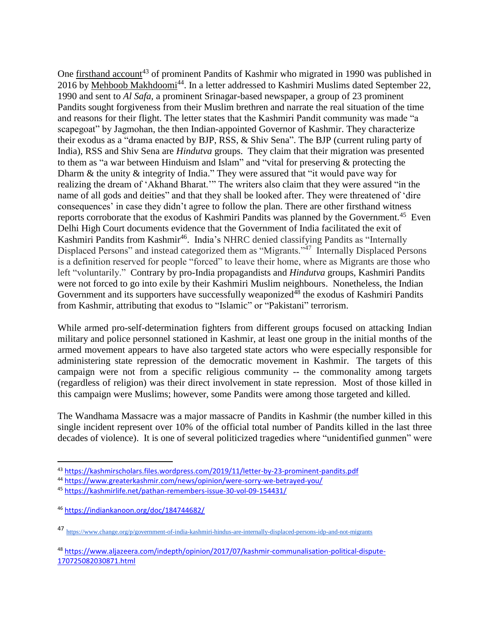One [firsthand account](https://kashmirscholars.files.wordpress.com/2019/11/letter-by-23-prominent-pandits.pdf)<sup>43</sup> of prominent Pandits of Kashmir who migrated in 1990 was published in 2016 by [Mehboob Makhdoomi](https://www.greaterkashmir.com/news/opinion/were-sorry-we-betrayed-you/)<sup>44</sup>. In a letter addressed to Kashmiri Muslims dated September 22, 1990 and sent to *Al Safa,* a prominent Srinagar-based newspaper, a group of 23 prominent Pandits sought forgiveness from their Muslim brethren and narrate the real situation of the time and reasons for their flight. The letter states that the Kashmiri Pandit community was made "a scapegoat" by Jagmohan, the then Indian-appointed Governor of Kashmir. They characterize their exodus as a "drama enacted by BJP, RSS, & Shiv Sena". The BJP (current ruling party of India), RSS and Shiv Sena are *Hindutva* groups. They claim that their migration was presented to them as "a war between Hinduism and Islam" and "vital for preserving & protecting the Dharm & the unity & integrity of India." They were assured that "it would pave way for realizing the dream of 'Akhand Bharat.'" The writers also claim that they were assured "in the name of all gods and deities" and that they shall be looked after. They were threatened of 'dire consequences' in case they didn't agree to follow the plan. There are other firsthand witness reports corroborate that the exodus of Kashmiri Pandits was planned by the Government.<sup>45</sup> Even Delhi High Court documents evidence that the Government of India facilitated the exit of Kashmiri Pandits from Kashmir<sup>46</sup>. India's NHRC denied classifying Pandits as "Internally Displaced Persons" and instead categorized them as "Migrants."<sup>47</sup> Internally Displaced Persons is a definition reserved for people "forced" to leave their home, where as Migrants are those who left "voluntarily." Contrary by pro-India propagandists and *Hindutva* groups, Kashmiri Pandits were not forced to go into exile by their Kashmiri Muslim neighbours. Nonetheless, the Indian Government and its supporters have successfully [weaponized](https://www.aljazeera.com/indepth/opinion/2017/07/kashmir-communalisation-political-dispute-170725082030871.html)<sup> $\overline{48}$ </sup> the exodus of Kashmiri Pandits from Kashmir, attributing that exodus to "Islamic" or "Pakistani" terrorism.

While armed pro-self-determination fighters from different groups focused on attacking Indian military and police personnel stationed in Kashmir, at least one group in the initial months of the armed movement appears to have also targeted state actors who were especially responsible for administering state repression of the democratic movement in Kashmir. The targets of this campaign were not from a specific religious community -- the commonality among targets (regardless of religion) was their direct involvement in state repression. Most of those killed in this campaign were Muslims; however, some Pandits were among those targeted and killed.

The Wandhama Massacre was a major massacre of Pandits in Kashmir (the number killed in this single incident represent over 10% of the official total number of Pandits killed in the last three decades of violence). It is one of several politicized tragedies where "unidentified gunmen" were

 $\overline{a}$ 

<sup>43</sup> <https://kashmirscholars.files.wordpress.com/2019/11/letter-by-23-prominent-pandits.pdf>

<sup>44</sup> <https://www.greaterkashmir.com/news/opinion/were-sorry-we-betrayed-you/>

<sup>45</sup> <https://kashmirlife.net/pathan-remembers-issue-30-vol-09-154431/>

<sup>46</sup> <https://indiankanoon.org/doc/184744682/>

<sup>47</sup> <https://www.change.org/p/government-of-india-kashmiri-hindus-are-internally-displaced-persons-idp-and-not-migrants>

<sup>48</sup> [https://www.aljazeera.com/indepth/opinion/2017/07/kashmir-communalisation-political-dispute-](https://www.aljazeera.com/indepth/opinion/2017/07/kashmir-communalisation-political-dispute-170725082030871.html)[170725082030871.html](https://www.aljazeera.com/indepth/opinion/2017/07/kashmir-communalisation-political-dispute-170725082030871.html)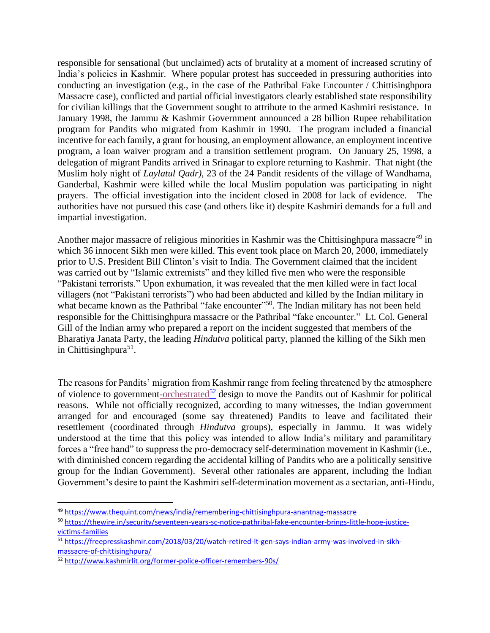responsible for sensational (but unclaimed) acts of brutality at a moment of increased scrutiny of India's policies in Kashmir. Where popular protest has succeeded in pressuring authorities into conducting an investigation (e.g., in the case of the Pathribal Fake Encounter / Chittisinghpora Massacre case), conflicted and partial official investigators clearly established state responsibility for civilian killings that the Government sought to attribute to the armed Kashmiri resistance. In January 1998, the Jammu & Kashmir Government announced a 28 billion Rupee rehabilitation program for Pandits who migrated from Kashmir in 1990. The program included a financial incentive for each family, a grant for housing, an employment allowance, an employment incentive program, a loan waiver program and a transition settlement program. On January 25, 1998, a delegation of migrant Pandits arrived in Srinagar to explore returning to Kashmir. That night (the Muslim holy night of *Laylatul Qadr),* 23 of the 24 Pandit residents of the village of Wandhama, Ganderbal, Kashmir were killed while the local Muslim population was participating in night prayers. The official investigation into the incident closed in 2008 for lack of evidence. The authorities have not pursued this case (and others like it) despite Kashmiri demands for a full and impartial investigation.

Another major massacre of religious minorities in Kashmir was the Chittisinghpura massacre<sup>49</sup> in which 36 innocent Sikh men were killed. This event took place on March 20, 2000, immediately prior to U.S. President Bill Clinton's visit to India. The Government claimed that the incident was carried out by "Islamic extremists" and they killed five men who were the responsible "Pakistani terrorists." Upon exhumation, it was revealed that the men killed were in fact local villagers (not "Pakistani terrorists") who had been abducted and killed by the Indian military in what became known as the Pathribal "fake encounter"<sup>50</sup>. The Indian military has not been held responsible for the Chittisinghpura massacre or the Pathribal "fake encounter." Lt. Col. General Gill of the Indian army who prepared a report on the incident suggested that members of the Bharatiya Janata Party, the leading *Hindutva* political party, planned the killing of the Sikh men in Chittisinghpura<sup>51</sup>.

The reasons for Pandits' migration from Kashmir range from feeling threatened by the atmosphere of violence to governmen[t-orchestrated](http://www.kashmirlit.org/former-police-officer-remembers-90s/)<sup>52</sup> design to move the Pandits out of Kashmir for political reasons. While not officially recognized, according to many witnesses, the Indian government arranged for and encouraged (some say threatened) Pandits to leave and facilitated their resettlement (coordinated through *Hindutva* groups), especially in Jammu. It was widely understood at the time that this policy was intended to allow India's military and paramilitary forces a "free hand" to suppress the pro-democracy self-determination movement in Kashmir (i.e., with diminished concern regarding the accidental killing of Pandits who are a politically sensitive group for the Indian Government). Several other rationales are apparent, including the Indian Government's desire to paint the Kashmiri self-determination movement as a sectarian, anti-Hindu,

 $\overline{a}$ 

<sup>49</sup> <https://www.thequint.com/news/india/remembering-chittisinghpura-anantnag-massacre>

<sup>50</sup> [https://thewire.in/security/seventeen-years-sc-notice-pathribal-fake-encounter-brings-little-hope-justice](https://thewire.in/security/seventeen-years-sc-notice-pathribal-fake-encounter-brings-little-hope-justice-victims-families)[victims-families](https://thewire.in/security/seventeen-years-sc-notice-pathribal-fake-encounter-brings-little-hope-justice-victims-families)

<sup>51</sup> [https://freepresskashmir.com/2018/03/20/watch-retired-lt-gen-says-indian-army-was-involved-in-sikh](https://freepresskashmir.com/2018/03/20/watch-retired-lt-gen-says-indian-army-was-involved-in-sikh-massacre-of-chittisinghpura/)[massacre-of-chittisinghpura/](https://freepresskashmir.com/2018/03/20/watch-retired-lt-gen-says-indian-army-was-involved-in-sikh-massacre-of-chittisinghpura/)

<sup>52</sup> <http://www.kashmirlit.org/former-police-officer-remembers-90s/>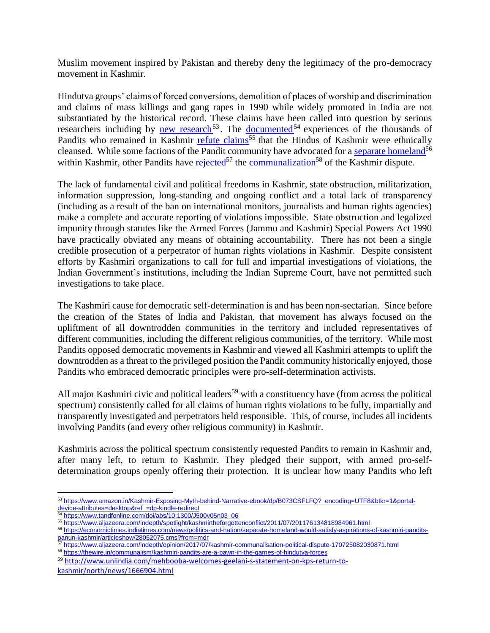Muslim movement inspired by Pakistan and thereby deny the legitimacy of the pro-democracy movement in Kashmir.

Hindutva groups' claims of forced conversions, demolition of places of worship and discrimination and claims of mass killings and gang rapes in 1990 while widely promoted in India are not substantiated by the historical record. These claims have been called into question by serious researchers including by [new research](https://www.amazon.in/Kashmir-Exposing-Myth-behind-Narrative-ebook/dp/B073CSFLFQ?_encoding=UTF8&btkr=1&portal-device-attributes=desktop&ref_=dp-kindle-redirect)<sup>53</sup>. The <u>documented</u><sup>54</sup> experiences of the thousands of Pandits who remained in  $\overline{\text{Kashmir}}$  [refute claims](https://www.aljazeera.com/indepth/spotlight/kashmirtheforgottenconflict/2011/07/201176134818984961.html)<sup>55</sup> that the Hindus of Kashmir were ethnically cleansed. While some factions of the Pandit community have advocated for a [separate homeland](https://economictimes.indiatimes.com/news/politics-and-nation/separate-homeland-would-satisfy-aspirations-of-kashmiri-pandits-panun-kashmir/articleshow/28052075.cms?from=mdr)<sup>56</sup> within Kashmir, other Pandits have [rejected](https://www.aljazeera.com/indepth/opinion/2017/07/kashmir-communalisation-political-dispute-170725082030871.html)<sup>57</sup> the [communalization](https://thewire.in/communalism/kashmiri-pandits-are-a-pawn-in-the-games-of-hindutva-forces)<sup>58</sup> of the Kashmir dispute.

The lack of fundamental civil and political freedoms in Kashmir, state obstruction, militarization, information suppression, long-standing and ongoing conflict and a total lack of transparency (including as a result of the ban on international monitors, journalists and human rights agencies) make a complete and accurate reporting of violations impossible. State obstruction and legalized impunity through statutes like the Armed Forces (Jammu and Kashmir) Special Powers Act 1990 have practically obviated any means of obtaining accountability. There has not been a single credible prosecution of a perpetrator of human rights violations in Kashmir. Despite consistent efforts by Kashmiri organizations to call for full and impartial investigations of violations, the Indian Government's institutions, including the Indian Supreme Court, have not permitted such investigations to take place.

The Kashmiri cause for democratic self-determination is and has been non-sectarian. Since before the creation of the States of India and Pakistan, that movement has always focused on the upliftment of all downtrodden communities in the territory and included representatives of different communities, including the different religious communities, of the territory. While most Pandits opposed democratic movements in Kashmir and viewed all Kashmiri attempts to uplift the downtrodden as a threat to the privileged position the Pandit community historically enjoyed, those Pandits who embraced democratic principles were pro-self-determination activists.

All major Kashmiri civic and political leaders<sup>59</sup> with a constituency have (from across the political spectrum) consistently called for all claims of human rights violations to be fully, impartially and transparently investigated and perpetrators held responsible. This, of course, includes all incidents involving Pandits (and every other religious community) in Kashmir.

Kashmiris across the political spectrum consistently requested Pandits to remain in Kashmir and, after many left, to return to Kashmir. They pledged their support, with armed pro-selfdetermination groups openly offering their protection. It is unclear how many Pandits who left

<sup>58</sup> <https://thewire.in/communalism/kashmiri-pandits-are-a-pawn-in-the-games-of-hindutva-forces>

<sup>59</sup> [http://www.uniindia.com/mehbooba-welcomes-geelani-s-statement-on-kps-return-to](http://www.uniindia.com/mehbooba-welcomes-geelani-s-statement-on-kps-return-to-kashmir/north/news/1666904.html)[kashmir/north/news/1666904.html](http://www.uniindia.com/mehbooba-welcomes-geelani-s-statement-on-kps-return-to-kashmir/north/news/1666904.html)

 $\overline{a}$ <sup>53</sup> [https://www.amazon.in/Kashmir-Exposing-Myth-behind-Narrative-ebook/dp/B073CSFLFQ?\\_encoding=UTF8&btkr=1&portal](https://www.amazon.in/Kashmir-Exposing-Myth-behind-Narrative-ebook/dp/B073CSFLFQ?_encoding=UTF8&btkr=1&portal-device-attributes=desktop&ref_=dp-kindle-redirect)[device-attributes=desktop&ref\\_=dp-kindle-redirect](https://www.amazon.in/Kashmir-Exposing-Myth-behind-Narrative-ebook/dp/B073CSFLFQ?_encoding=UTF8&btkr=1&portal-device-attributes=desktop&ref_=dp-kindle-redirect)

<sup>54</sup> [https://www.tandfonline.com/doi/abs/10.1300/J500v05n03\\_06](https://www.tandfonline.com/doi/abs/10.1300/J500v05n03_06)

<sup>55</sup> <https://www.aljazeera.com/indepth/spotlight/kashmirtheforgottenconflict/2011/07/201176134818984961.html>

<sup>56</sup> [https://economictimes.indiatimes.com/news/politics-and-nation/separate-homeland-would-satisfy-aspirations-of-kashmiri-pandits](https://economictimes.indiatimes.com/news/politics-and-nation/separate-homeland-would-satisfy-aspirations-of-kashmiri-pandits-panun-kashmir/articleshow/28052075.cms?from=mdr)[panun-kashmir/articleshow/28052075.cms?from=mdr](https://economictimes.indiatimes.com/news/politics-and-nation/separate-homeland-would-satisfy-aspirations-of-kashmiri-pandits-panun-kashmir/articleshow/28052075.cms?from=mdr)<br>57 https://www.eliseshow/28052075.cms?from=mdr

<sup>57</sup> <https://www.aljazeera.com/indepth/opinion/2017/07/kashmir-communalisation-political-dispute-170725082030871.html>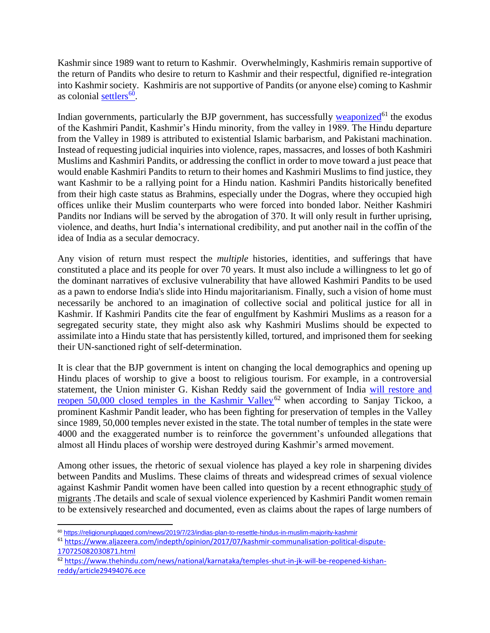Kashmir since 1989 want to return to Kashmir. Overwhelmingly, Kashmiris remain supportive of the return of Pandits who desire to return to Kashmir and their respectful, dignified re-integration into Kashmir society. Kashmiris are not supportive of Pandits (or anyone else) coming to Kashmir as colonial [settlers](https://religionunplugged.com/news/2019/7/23/indias-plan-to-resettle-hindus-in-muslim-majority-kashmir)<sup>60</sup>.

Indian governments, particularly the BJP government, has successfully [weaponized](https://www.aljazeera.com/indepth/opinion/2017/07/kashmir-communalisation-political-dispute-170725082030871.html)<sup>61</sup> the exodus of the Kashmiri Pandit, Kashmir's Hindu minority, from the valley in 1989. The Hindu departure from the Valley in 1989 is attributed to existential Islamic barbarism, and Pakistani machination. Instead of requesting judicial inquiries into violence, rapes, massacres, and losses of both Kashmiri Muslims and Kashmiri Pandits, or addressing the conflict in order to move toward a just peace that would enable Kashmiri Pandits to return to their homes and Kashmiri Muslims to find justice, they want Kashmir to be a rallying point for a Hindu nation. Kashmiri Pandits historically benefited from their high caste status as Brahmins, especially under the Dogras, where they occupied high offices unlike their Muslim counterparts who were forced into bonded labor. Neither Kashmiri Pandits nor Indians will be served by the abrogation of 370. It will only result in further uprising, violence, and deaths, hurt India's international credibility, and put another nail in the coffin of the idea of India as a secular democracy.

Any vision of return must respect the *multiple* histories, identities, and sufferings that have constituted a place and its people for over 70 years. It must also include a willingness to let go of the dominant narratives of exclusive vulnerability that have allowed Kashmiri Pandits to be used as a pawn to endorse India's slide into Hindu majoritarianism. Finally, such a vision of home must necessarily be anchored to an imagination of collective social and political justice for all in Kashmir. If Kashmiri Pandits cite the fear of engulfment by Kashmiri Muslims as a reason for a segregated security state, they might also ask why Kashmiri Muslims should be expected to assimilate into a Hindu state that has persistently killed, tortured, and imprisoned them for seeking their UN-sanctioned right of self-determination.

It is clear that the BJP government is intent on changing the local demographics and opening up Hindu places of worship to give a boost to religious tourism. For example, in a controversial statement, the Union minister G. Kishan Reddy said the government of India [will restore and](https://www.thehindu.com/news/national/karnataka/temples-shut-in-jk-will-be-reopened-kishan-reddy/article29494076.ece)  [reopen 50,000 closed temples in the Kashmir Valley](https://www.thehindu.com/news/national/karnataka/temples-shut-in-jk-will-be-reopened-kishan-reddy/article29494076.ece)<sup>62</sup> when according to Sanjay Tickoo, a prominent Kashmir Pandit leader, who has been fighting for preservation of temples in the Valley since 1989, 50,000 temples never existed in the state. The total number of temples in the state were 4000 and the exaggerated number is to reinforce the government's unfounded allegations that almost all Hindu places of worship were destroyed during Kashmir's armed movement.

Among other issues, the rhetoric of sexual violence has played a key role in sharpening divides between Pandits and Muslims. These claims of threats and widespread crimes of sexual violence against Kashmir Pandit women have been called into question by a recent ethnographic [study of](http://www.raiot.in/what-about-the-kashmiri-pandits/)  [migrants](http://www.raiot.in/what-about-the-kashmiri-pandits/) .The details and scale of sexual violence experienced by Kashmiri Pandit women remain to be extensively researched and documented, even as claims about the rapes of large numbers of

 $\overline{a}$ <sup>60</sup> <https://religionunplugged.com/news/2019/7/23/indias-plan-to-resettle-hindus-in-muslim-majority-kashmir>

<sup>61</sup> [https://www.aljazeera.com/indepth/opinion/2017/07/kashmir-communalisation-political-dispute-](https://www.aljazeera.com/indepth/opinion/2017/07/kashmir-communalisation-political-dispute-170725082030871.html)[170725082030871.html](https://www.aljazeera.com/indepth/opinion/2017/07/kashmir-communalisation-political-dispute-170725082030871.html)

<sup>62</sup> [https://www.thehindu.com/news/national/karnataka/temples-shut-in-jk-will-be-reopened-kishan](https://www.thehindu.com/news/national/karnataka/temples-shut-in-jk-will-be-reopened-kishan-reddy/article29494076.ece)[reddy/article29494076.ece](https://www.thehindu.com/news/national/karnataka/temples-shut-in-jk-will-be-reopened-kishan-reddy/article29494076.ece)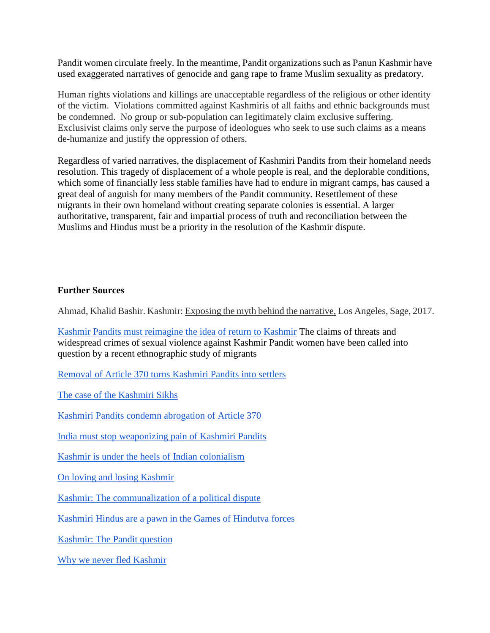Pandit women circulate freely. In the meantime, Pandit organizations such as Panun Kashmir have used exaggerated narratives of genocide and gang rape to frame Muslim sexuality as predatory.

Human rights violations and killings are unacceptable regardless of the religious or other identity of the victim. Violations committed against Kashmiris of all faiths and ethnic backgrounds must be condemned. No group or sub-population can legitimately claim exclusive suffering. Exclusivist claims only serve the purpose of ideologues who seek to use such claims as a means de-humanize and justify the oppression of others.

Regardless of varied narratives, the displacement of Kashmiri Pandits from their homeland needs resolution. This tragedy of displacement of a whole people is real, and the deplorable conditions, which some of financially less stable families have had to endure in migrant camps, has caused a great deal of anguish for many members of the Pandit community. Resettlement of these migrants in their own homeland without creating separate colonies is essential. A larger authoritative, transparent, fair and impartial process of truth and reconciliation between the Muslims and Hindus must be a priority in the resolution of the Kashmir dispute.

## **Further Sources**

Ahmad, Khalid Bashir. Kashmir: Exposing the myth behind the narrative, Los Angeles, Sage, 2017.

[Kashmir Pandits must reimagine the idea of return to Kashmir](https://www.aljazeera.com/indepth/opinion/kashmiri-pandits-imagine-idea-return-kashmir-190810183932740.html) The claims of threats and widespread crimes of sexual violence against Kashmir Pandit women have been called into question by a recent ethnographic [study of migrants](http://www.raiot.in/what-about-the-kashmiri-pandits/)

Removal [of Article 370 turns Kashmiri Pandits into settlers](http://www.raiot.in/removal-of-article-370-turns-kashmiri-pandit-natives-into-settlers/)

[The case of the Kashmiri Sikhs](https://www.thehindubusinessline.com/opinion/the-case-of-the-kashmiri-sikhs/article28984332.ece)

[Kashmiri Pandits condemn abrogation of Article 370](https://caravandaily.com/kashmiri-pandits-condemn-abrogation-of-article-370-in-petition/)

[India must stop weaponizing pain of Kashmiri Pandits](https://www.washingtonpost.com/)

[Kashmir is under the heels of Indian colonialism](https://foreignpolicy.com/2019/08/13/kashmir-is-under-the-heel-of-indias-colonialism/)

[On loving and losing Kashmir](https://www.jstor.org/stable/41804076?seq=1#page_scan_tab_contents)

[Kashmir: The communalization of a political dispute](https://www.aljazeera.com/indepth/opinion/2017/07/kashmir-communalisation-political-dispute-170725082030871.html)

[Kashmiri Hindus are a pawn in the Games of Hindutva forces](https://thewire.in/communalism/kashmiri-pandits-are-a-pawn-in-the-games-of-hindutva-forces)

[Kashmir: The Pandit question](https://www.aljazeera.com/indepth/spotlight/kashmirtheforgottenconflict/2011/07/2011724204546645823.html)

[Why we never fled Kashmir](https://www.aljazeera.com/indepth/spotlight/kashmirtheforgottenconflict/2011/07/201176134818984961.html)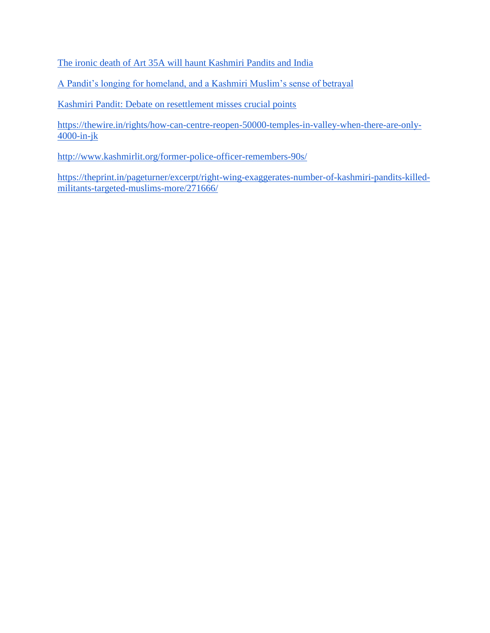[The ironic death of Art 35A will haunt Kashmiri Pandits and India](https://www.newsclick.in/ironic-death-art-35a-will-haunt-kashmiri-pandits-and-india)

[A Pandit's longing for homeland, and a Kashmiri Muslim's sense of betrayal](https://www.newsclick.in/a-pandit-longing-homeland-kashmiri-muslim-sense-betrayal)

[Kashmiri Pandit: Debate on resettlement misses crucial points](https://www.thenewsminute.com/article/kashmiri-pandits-debate-resettlement-misses-crucial-points)

[https://thewire.in/rights/how-can-centre-reopen-50000-temples-in-valley-when-there-are-only-](https://thewire.in/rights/how-can-centre-reopen-50000-temples-in-valley-when-there-are-only-4000-in-jk)[4000-in-jk](https://thewire.in/rights/how-can-centre-reopen-50000-temples-in-valley-when-there-are-only-4000-in-jk)

<http://www.kashmirlit.org/former-police-officer-remembers-90s/>

[https://theprint.in/pageturner/excerpt/right-wing-exaggerates-number-of-kashmiri-pandits-killed](https://theprint.in/pageturner/excerpt/right-wing-exaggerates-number-of-kashmiri-pandits-killed-militants-targeted-muslims-more/271666/)[militants-targeted-muslims-more/271666/](https://theprint.in/pageturner/excerpt/right-wing-exaggerates-number-of-kashmiri-pandits-killed-militants-targeted-muslims-more/271666/)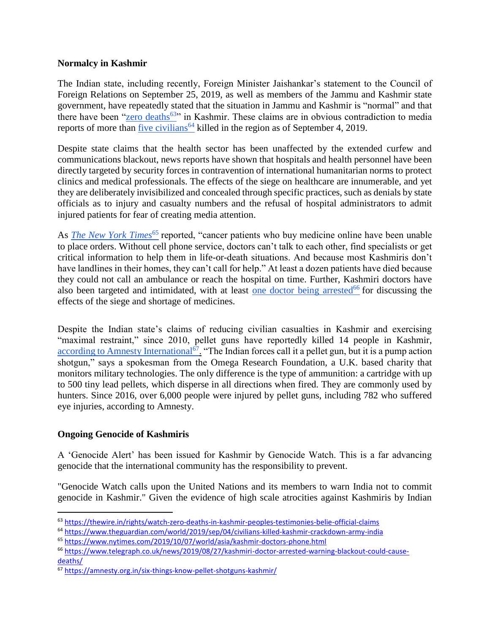## <span id="page-29-0"></span>**Normalcy in Kashmir**

The Indian state, including recently, Foreign Minister Jaishankar's statement to the Council of Foreign Relations on September 25, 2019, as well as members of the Jammu and Kashmir state government, have repeatedly stated that the situation in Jammu and Kashmir is "normal" and that there have been ["zero deaths](https://thewire.in/rights/watch-zero-deaths-in-kashmir-peoples-testimonies-belie-official-claims)<sup>63</sup>" in Kashmir. These claims are in obvious contradiction to media reports of more than [five civilians](https://www.theguardian.com/world/2019/sep/04/civilians-killed-kashmir-crackdown-army-india)<sup>64</sup> killed in the region as of September 4, 2019.

Despite state claims that the health sector has been unaffected by the extended curfew and communications blackout, news reports have shown that hospitals and health personnel have been directly targeted by security forces in contravention of international humanitarian norms to protect clinics and medical professionals. The effects of the siege on healthcare are innumerable, and yet they are deliberately invisibilized and concealed through specific practices, such as denials by state officials as to injury and casualty numbers and the refusal of hospital administrators to admit injured patients for fear of creating media attention.

As *[The New York Times](https://www.nytimes.com/2019/10/07/world/asia/kashmir-doctors-phone.html)*<sup>65</sup> reported, "cancer patients who buy medicine online have been unable to place orders. Without cell phone service, doctors can't talk to each other, find specialists or get critical information to help them in life-or-death situations. And because most Kashmiris don't have landlines in their homes, they can't call for help." At least a dozen patients have died because they could not call an ambulance or reach the hospital on time. Further, Kashmiri doctors have also been targeted and intimidated, with at least [one doctor being arrested](https://www.telegraph.co.uk/news/2019/08/27/kashmiri-doctor-arrested-warning-blackout-could-cause-deaths/) $^{66}$  for discussing the effects of the siege and shortage of medicines.

Despite the Indian state's claims of reducing civilian casualties in Kashmir and exercising "maximal restraint," since 2010, pellet guns have reportedly killed 14 people in Kashmir, [according to Amnesty International](https://amnesty.org.in/six-things-know-pellet-shotguns-kashmir/)<sup>67</sup>. "The Indian forces call it a pellet gun, but it is a pump action shotgun," says a spokesman from the Omega Research Foundation, a U.K. based charity that monitors military technologies. The only difference is the type of ammunition: a cartridge with up to 500 tiny lead pellets, which disperse in all directions when fired. They are commonly used by hunters. Since 2016, over 6,000 people were injured by pellet guns, including 782 who suffered eye injuries, according to Amnesty.

# **Ongoing Genocide of Kashmiris**

A 'Genocide Alert' has been issued for Kashmir by Genocide Watch. This is a far advancing genocide that the international community has the responsibility to prevent.

"Genocide Watch calls upon the United Nations and its members to warn India not to commit genocide in Kashmir." Given the evidence of high scale atrocities against Kashmiris by Indian

 $\overline{a}$ 63 <https://thewire.in/rights/watch-zero-deaths-in-kashmir-peoples-testimonies-belie-official-claims>

<sup>64</sup> <https://www.theguardian.com/world/2019/sep/04/civilians-killed-kashmir-crackdown-army-india>

<sup>65</sup> <https://www.nytimes.com/2019/10/07/world/asia/kashmir-doctors-phone.html>

<sup>66</sup> [https://www.telegraph.co.uk/news/2019/08/27/kashmiri-doctor-arrested-warning-blackout-could-cause](https://www.telegraph.co.uk/news/2019/08/27/kashmiri-doctor-arrested-warning-blackout-could-cause-deaths/)[deaths/](https://www.telegraph.co.uk/news/2019/08/27/kashmiri-doctor-arrested-warning-blackout-could-cause-deaths/)

<sup>67</sup> <https://amnesty.org.in/six-things-know-pellet-shotguns-kashmir/>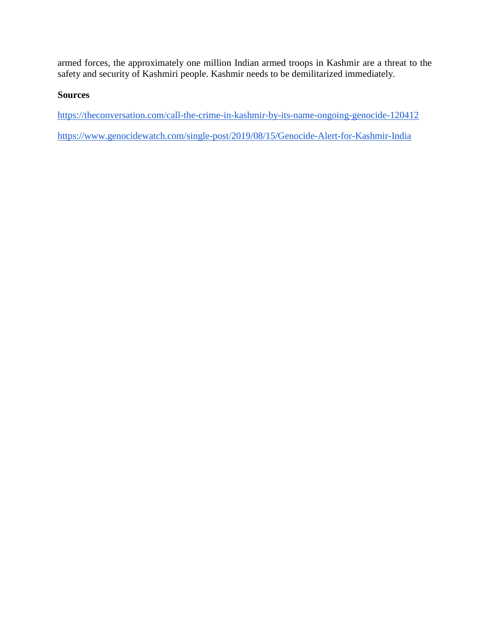armed forces, the approximately one million Indian armed troops in Kashmir are a threat to the safety and security of Kashmiri people. Kashmir needs to be demilitarized immediately.

# **Sources**

<https://theconversation.com/call-the-crime-in-kashmir-by-its-name-ongoing-genocide-120412>

<https://www.genocidewatch.com/single-post/2019/08/15/Genocide-Alert-for-Kashmir-India>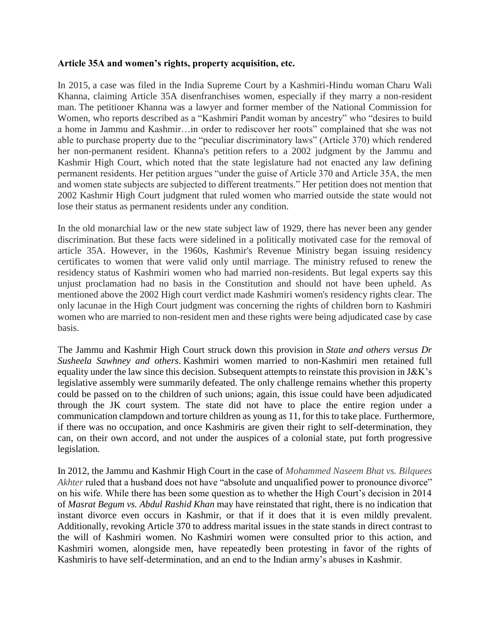### <span id="page-31-0"></span>**Article 35A and women's rights, property acquisition, etc.**

In 2015, a case was filed in the India Supreme Court by a Kashmiri-Hindu woman Charu Wali Khanna, claiming Article 35A disenfranchises women, especially if they marry a non-resident man. The petitioner Khanna was a lawyer and former member of the National Commission for Women, who reports described as a "Kashmiri Pandit woman by ancestry" who "desires to build a home in Jammu and Kashmir…in order to rediscover her roots" complained that she was not able to purchase property due to the "peculiar discriminatory laws" (Article 370) which rendered her non-permanent resident. Khanna's petition refers to a 2002 judgment by the Jammu and Kashmir High Court, which noted that the state legislature had not enacted any law defining permanent residents. Her petition argues "under the guise of Article 370 and Article 35A, the men and women state subjects are subjected to different treatments." Her petition does not mention that 2002 Kashmir High Court judgment that ruled women who married outside the state would not lose their status as permanent residents under any condition.

In the old monarchial law or the new state subject law of 1929, there has never been any gender discrimination. But these facts were sidelined in a politically motivated case for the removal of article 35A. However, in the 1960s, Kashmir's Revenue Ministry began issuing residency certificates to women that were valid only until marriage. The ministry refused to renew the residency status of Kashmiri women who had married non-residents. But legal experts say this unjust proclamation had no basis in the Constitution and should not have been upheld. As mentioned above the 2002 High court verdict made Kashmiri women's residency rights clear. The only lacunae in the High Court judgment was concerning the rights of children born to Kashmiri women who are married to non-resident men and these rights were being adjudicated case by case basis.

The Jammu and Kashmir High Court struck down this provision in *State and others versus Dr Susheela Sawhney and others*. Kashmiri women married to non-Kashmiri men retained full equality under the law since this decision. Subsequent attempts to reinstate this provision in J&K's legislative assembly were summarily defeated. The only challenge remains whether this property could be passed on to the children of such unions; again, this issue could have been adjudicated through the JK court system. The state did not have to place the entire region under a communication clampdown and torture children as young as 11, for this to take place. Furthermore, if there was no occupation, and once Kashmiris are given their right to self-determination, they can, on their own accord, and not under the auspices of a colonial state, put forth progressive legislation.

In 2012, the Jammu and Kashmir High Court in the case of *Mohammed Naseem Bhat vs. Bilquees Akhter* ruled that a husband does not have "absolute and unqualified power to pronounce divorce" on his wife. While there has been some question as to whether the High Court's decision in 2014 of *Masrat Begum vs. Abdul Rashid Khan* may have reinstated that right, there is no indication that instant divorce even occurs in Kashmir, or that if it does that it is even mildly prevalent. Additionally, revoking Article 370 to address marital issues in the state stands in direct contrast to the will of Kashmiri women. No Kashmiri women were consulted prior to this action, and Kashmiri women, alongside men, have repeatedly been protesting in favor of the rights of Kashmiris to have self-determination, and an end to the Indian army's abuses in Kashmir.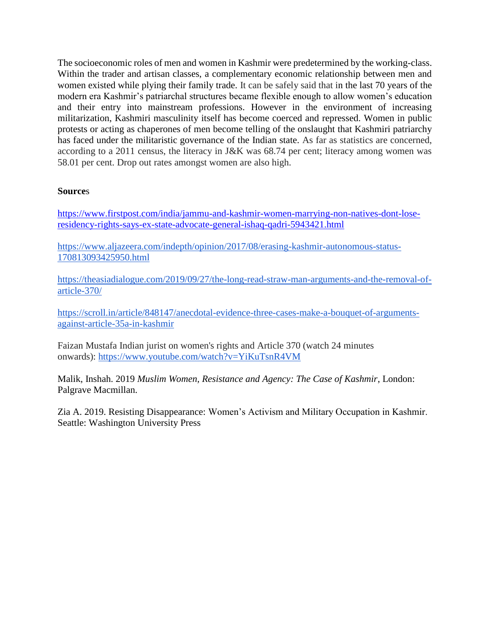The socioeconomic roles of men and women in Kashmir were predetermined by the working-class. Within the trader and artisan classes, a complementary economic relationship between men and women existed while plying their family trade. It can be safely said that in the last 70 years of the modern era Kashmir's patriarchal structures became flexible enough to allow women's education and their entry into mainstream professions. However in the environment of increasing militarization, Kashmiri masculinity itself has become coerced and repressed. Women in public protests or acting as chaperones of men become telling of the onslaught that Kashmiri patriarchy has faced under the militaristic governance of the Indian state. As far as statistics are concerned, according to a 2011 census, the literacy in J&K was 68.74 per cent; literacy among women was 58.01 per cent. Drop out rates amongst women are also high.

## **Source**s

[https://www.firstpost.com/india/jammu-and-kashmir-women-marrying-non-natives-dont-lose](https://nam02.safelinks.protection.outlook.com/?url=https%3A%2F%2Fwww.firstpost.com%2Findia%2Fjammu-and-kashmir-women-marrying-non-natives-dont-lose-residency-rights-says-ex-state-advocate-general-ishaq-qadri-5943421.html&data=02%7C01%7CAther.Zia%40unco.edu%7C2b9a76550f5843fb775308d754db8fa8%7Cb4dce27cd088445499652b59a23ea171%7C0%7C0%7C637071174315775776&sdata=dxmxjkbPHycOGaK8Ov9LFU%2Fif%2B3PP4%2BJ7Y7UH6U0nPw%3D&reserved=0)[residency-rights-says-ex-state-advocate-general-ishaq-qadri-5943421.html](https://nam02.safelinks.protection.outlook.com/?url=https%3A%2F%2Fwww.firstpost.com%2Findia%2Fjammu-and-kashmir-women-marrying-non-natives-dont-lose-residency-rights-says-ex-state-advocate-general-ishaq-qadri-5943421.html&data=02%7C01%7CAther.Zia%40unco.edu%7C2b9a76550f5843fb775308d754db8fa8%7Cb4dce27cd088445499652b59a23ea171%7C0%7C0%7C637071174315775776&sdata=dxmxjkbPHycOGaK8Ov9LFU%2Fif%2B3PP4%2BJ7Y7UH6U0nPw%3D&reserved=0)

[https://www.aljazeera.com/indepth/opinion/2017/08/erasing-kashmir-autonomous-status-](https://www.aljazeera.com/indepth/opinion/2017/08/erasing-kashmir-autonomous-status-170813093425950.html)[170813093425950.html](https://www.aljazeera.com/indepth/opinion/2017/08/erasing-kashmir-autonomous-status-170813093425950.html)

[https://theasiadialogue.com/2019/09/27/the-long-read-straw-man-arguments-and-the-removal-of](https://theasiadialogue.com/2019/09/27/the-long-read-straw-man-arguments-and-the-removal-of-article-370/)[article-370/](https://theasiadialogue.com/2019/09/27/the-long-read-straw-man-arguments-and-the-removal-of-article-370/)

[https://scroll.in/article/848147/anecdotal-evidence-three-cases-make-a-bouquet-of-arguments](https://scroll.in/article/848147/anecdotal-evidence-three-cases-make-a-bouquet-of-arguments-against-article-35a-in-kashmir)[against-article-35a-in-kashmir](https://scroll.in/article/848147/anecdotal-evidence-three-cases-make-a-bouquet-of-arguments-against-article-35a-in-kashmir)

Faizan Mustafa Indian jurist on women's rights and Article 370 (watch 24 minutes onwards): <https://www.youtube.com/watch?v=YiKuTsnR4VM>

Malik, Inshah. 2019 *Muslim Women, Resistance and Agency: The Case of Kashmir*, London: Palgrave Macmillan.

<span id="page-32-0"></span>Zia A. 2019. Resisting Disappearance: Women's Activism and Military Occupation in Kashmir. Seattle: Washington University Press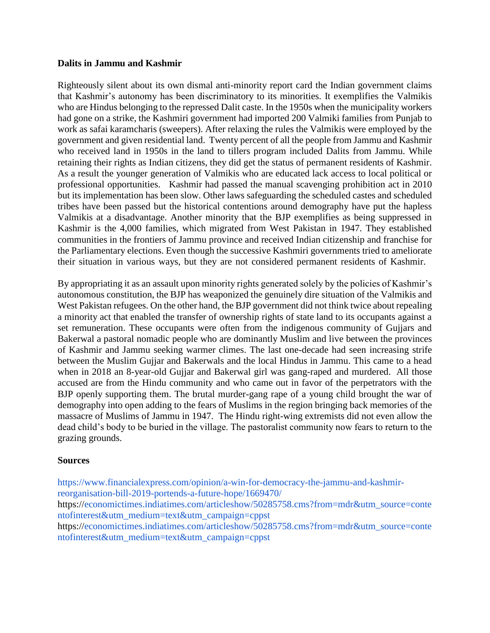### <span id="page-33-0"></span>**Dalits in Jammu and Kashmir**

Righteously silent about its own dismal anti-minority report card the Indian government claims that Kashmir's autonomy has been discriminatory to its minorities. It exemplifies the Valmikis who are Hindus belonging to the repressed Dalit caste. In the 1950s when the municipality workers had gone on a strike, the Kashmiri government had imported 200 Valmiki families from Punjab to work as safai karamcharis (sweepers). After relaxing the rules the Valmikis were employed by the government and given residential land. Twenty percent of all the people from Jammu and Kashmir who received land in 1950s in the land to tillers program included Dalits from Jammu. While retaining their rights as Indian citizens, they did get the status of permanent residents of Kashmir. As a result the younger generation of Valmikis who are educated lack access to local political or professional opportunities. Kashmir had passed the manual scavenging prohibition act in 2010 but its implementation has been slow. Other laws safeguarding the scheduled castes and scheduled tribes have been passed but the historical contentions around demography have put the hapless Valmikis at a disadvantage. Another minority that the BJP exemplifies as being suppressed in Kashmir is the 4,000 families, which migrated from West Pakistan in 1947. They established communities in the frontiers of Jammu province and received Indian citizenship and franchise for the Parliamentary elections. Even though the successive Kashmiri governments tried to ameliorate their situation in various ways, but they are not considered permanent residents of Kashmir.

By appropriating it as an assault upon minority rights generated solely by the policies of Kashmir's autonomous constitution, the BJP has weaponized the genuinely dire situation of the Valmikis and West Pakistan refugees. On the other hand, the BJP government did not think twice about repealing a minority act that enabled the transfer of ownership rights of state land to its occupants against a set remuneration. These occupants were often from the indigenous community of Gujjars and Bakerwal a pastoral nomadic people who are dominantly Muslim and live between the provinces of Kashmir and Jammu seeking warmer climes. The last one-decade had seen increasing strife between the Muslim Gujjar and Bakerwals and the local Hindus in Jammu. This came to a head when in 2018 an 8-year-old Gujjar and Bakerwal girl was gang-raped and murdered. All those accused are from the Hindu community and who came out in favor of the perpetrators with the BJP openly supporting them. The brutal murder-gang rape of a young child brought the war of demography into open adding to the fears of Muslims in the region bringing back memories of the massacre of Muslims of Jammu in 1947. The Hindu right-wing extremists did not even allow the dead child's body to be buried in the village. The pastoralist community now fears to return to the grazing grounds.

### **Sources**

[https://www.financialexpress.com/opinion/a-win-for-democracy-the-jammu-and-kashmir](https://www.financialexpress.com/opinion/a-win-for-democracy-the-jammu-and-kashmir-reorganisation-bill-2019-portends-a-future-hope/1669470/)[reorganisation-bill-2019-portends-a-future-hope/1669470/](https://www.financialexpress.com/opinion/a-win-for-democracy-the-jammu-and-kashmir-reorganisation-bill-2019-portends-a-future-hope/1669470/) https:/[/economictimes.indiatimes.com/articleshow/50285758.cms?from=mdr&utm\\_source=conte](http://economictimes.indiatimes.com/articleshow/50285758.cms?from=mdr&utm_source=contentofinterest&utm_medium=text&utm_campaign=cppst) [ntofinterest&utm\\_medium=text&utm\\_campaign=cppst](http://economictimes.indiatimes.com/articleshow/50285758.cms?from=mdr&utm_source=contentofinterest&utm_medium=text&utm_campaign=cppst) https:/[/economictimes.indiatimes.com/articleshow/50285758.cms?from=mdr&utm\\_source=conte](http://economictimes.indiatimes.com/articleshow/50285758.cms?from=mdr&utm_source=contentofinterest&utm_medium=text&utm_campaign=cppst) [ntofinterest&utm\\_medium=text&utm\\_campaign=cppst](http://economictimes.indiatimes.com/articleshow/50285758.cms?from=mdr&utm_source=contentofinterest&utm_medium=text&utm_campaign=cppst)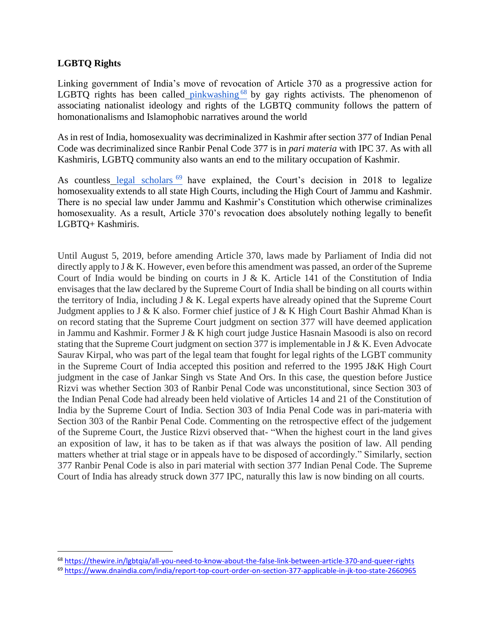## **LGBTQ Rights**

 $\overline{a}$ 

Linking government of India's move of revocation of Article 370 as a progressive action for LGBTQ rights has been called [pinkwashing](https://thewire.in/lgbtqia/all-you-need-to-know-about-the-false-link-between-article-370-and-queer-rights)  $68$  by gay rights activists. The phenomenon of associating nationalist ideology and rights of the LGBTQ community follows the pattern of homonationalisms and Islamophobic narratives around the world

As in rest of India, homosexuality was decriminalized in Kashmir after section 377 of Indian Penal Code was decriminalized since Ranbir Penal Code 377 is in *pari materia* with IPC 37. As with all Kashmiris, LGBTQ community also wants an end to the military occupation of Kashmir.

As countless [legal scholars](https://www.dnaindia.com/india/report-top-court-order-on-section-377-applicable-in-jk-too-state-2660965)<sup>69</sup> have explained, the Court's decision in 2018 to legalize homosexuality extends to all state High Courts, including the High Court of Jammu and Kashmir. There is no special law under Jammu and Kashmir's Constitution which otherwise criminalizes homosexuality. As a result, Article 370's revocation does absolutely nothing legally to benefit LGBTQ+ Kashmiris.

Until August 5, 2019, before amending Article 370, laws made by Parliament of India did not directly apply to J & K. However, even before this amendment was passed, an order of the Supreme Court of India would be binding on courts in J & K. Article 141 of the Constitution of India envisages that the law declared by the Supreme Court of India shall be binding on all courts within the territory of India, including  $J \& K$ . Legal experts have already opined that the Supreme Court Judgment applies to J & K also. Former chief justice of J & K High Court Bashir Ahmad Khan is on record stating that the Supreme Court judgment on section 377 will have deemed application in Jammu and Kashmir. Former J & K high court judge Justice Hasnain Masoodi is also on record stating that the Supreme Court judgment on section 377 is implementable in J & K. Even Advocate Saurav Kirpal, who was part of the legal team that fought for legal rights of the LGBT community in the Supreme Court of India accepted this position and referred to the 1995 J&K High Court judgment in the case of Jankar Singh vs State And Ors. In this case, the question before Justice Rizvi was whether Section 303 of Ranbir Penal Code was unconstitutional, since Section 303 of the Indian Penal Code had already been held violative of Articles 14 and 21 of the Constitution of India by the Supreme Court of India. Section 303 of India Penal Code was in pari-materia with Section 303 of the Ranbir Penal Code. Commenting on the retrospective effect of the judgement of the Supreme Court, the Justice Rizvi observed that- "When the highest court in the land gives an exposition of law, it has to be taken as if that was always the position of law. All pending matters whether at trial stage or in appeals have to be disposed of accordingly." Similarly, section 377 Ranbir Penal Code is also in pari material with section 377 Indian Penal Code. The Supreme Court of India has already struck down 377 IPC, naturally this law is now binding on all courts.

<sup>68</sup> <https://thewire.in/lgbtqia/all-you-need-to-know-about-the-false-link-between-article-370-and-queer-rights>

<sup>69</sup> <https://www.dnaindia.com/india/report-top-court-order-on-section-377-applicable-in-jk-too-state-2660965>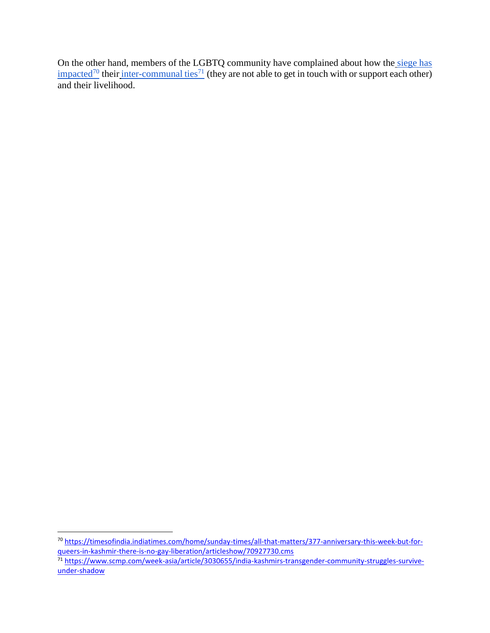On the other hand, members of the LGBTQ community have complained about how the siege has  $\frac{1}{2}$  [impacted](https://timesofindia.indiatimes.com/home/sunday-times/all-that-matters/377-anniversary-this-week-but-for-queers-in-kashmir-there-is-no-gay-liberation/articleshow/70927730.cms)<sup>70</sup> their [inter-communal ties](https://www.scmp.com/week-asia/article/3030655/india-kashmirs-transgender-community-struggles-survive-under-shadow)<sup>71</sup> (they are not able to get in touch with or support each other) and their livelihood.

 $\overline{a}$ 

<sup>&</sup>lt;sup>70</sup> [https://timesofindia.indiatimes.com/home/sunday-times/all-that-matters/377-anniversary-this-week-but-for](https://timesofindia.indiatimes.com/home/sunday-times/all-that-matters/377-anniversary-this-week-but-for-queers-in-kashmir-there-is-no-gay-liberation/articleshow/70927730.cms)[queers-in-kashmir-there-is-no-gay-liberation/articleshow/70927730.cms](https://timesofindia.indiatimes.com/home/sunday-times/all-that-matters/377-anniversary-this-week-but-for-queers-in-kashmir-there-is-no-gay-liberation/articleshow/70927730.cms)

<sup>71</sup> [https://www.scmp.com/week-asia/article/3030655/india-kashmirs-transgender-community-struggles-survive](https://www.scmp.com/week-asia/article/3030655/india-kashmirs-transgender-community-struggles-survive-under-shadow)[under-shadow](https://www.scmp.com/week-asia/article/3030655/india-kashmirs-transgender-community-struggles-survive-under-shadow)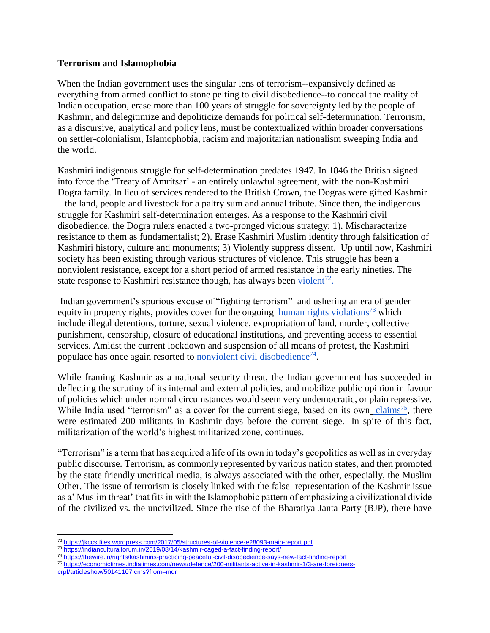## <span id="page-36-0"></span>**Terrorism and Islamophobia**

When the Indian government uses the singular lens of terrorism--expansively defined as everything from armed conflict to stone pelting to civil disobedience--to conceal the reality of Indian occupation, erase more than 100 years of struggle for sovereignty led by the people of Kashmir, and delegitimize and depoliticize demands for political self-determination. Terrorism, as a discursive, analytical and policy lens, must be contextualized within broader conversations on settler-colonialism, Islamophobia, racism and majoritarian nationalism sweeping India and the world.

Kashmiri indigenous struggle for self-determination predates 1947. In 1846 the British signed into force the 'Treaty of Amritsar' - an entirely unlawful agreement, with the non-Kashmiri Dogra family. In lieu of services rendered to the British Crown, the Dogras were gifted Kashmir – the land, people and livestock for a paltry sum and annual tribute. Since then, the indigenous struggle for Kashmiri self-determination emerges. As a response to the Kashmiri civil disobedience, the Dogra rulers enacted a two-pronged vicious strategy: 1). Mischaracterize resistance to them as fundamentalist; 2). Erase Kashmiri Muslim identity through falsification of Kashmiri history, culture and monuments; 3) Violently suppress dissent. Up until now, Kashmiri society has been existing through various structures of violence. This struggle has been a nonviolent resistance, except for a short period of armed resistance in the early nineties. The state response to Kashmiri resistance though, has always been [violent](https://jkccs.files.wordpress.com/2017/05/structures-of-violence-e28093-main-report.pdf)<sup>72</sup>.

Indian government's spurious excuse of "fighting terrorism" and ushering an era of gender equity in property rights, provides cover for the ongoing [human rights violations](https://indianculturalforum.in/2019/08/14/kashmir-caged-a-fact-finding-report/)<sup>73</sup> which include illegal detentions, torture, sexual violence, expropriation of land, murder, collective punishment, censorship, closure of educational institutions, and preventing access to essential services. Amidst the current lockdown and suspension of all means of protest, the Kashmiri populace has once again resorted to [nonviolent civil disobedience](https://thewire.in/rights/kashmiris-practicing-peaceful-civil-disobedience-says-new-fact-finding-report)<sup>74</sup>.

While framing Kashmir as a national security threat, the Indian government has succeeded in deflecting the scrutiny of its internal and external policies, and mobilize public opinion in favour of policies which under normal circumstances would seem very undemocratic, or plain repressive. While India used "terrorism" as a cover for the current siege, based on its own [claims](https://economictimes.indiatimes.com/news/defence/200-militants-active-in-kashmir-1/3-are-foreigners-crpf/articleshow/50141107.cms?from=mdr)<sup>75</sup>, there were estimated 200 militants in Kashmir days before the current siege. In spite of this fact, militarization of the world's highest militarized zone, continues.

"Terrorism" is a term that has acquired a life of its own in today's geopolitics as well as in everyday public discourse. Terrorism, as commonly represented by various nation states, and then promoted by the state friendly uncritical media, is always associated with the other, especially, the Muslim Other. The issue of terrorism is closely linked with the false representation of the Kashmir issue as a' Muslim threat' that fits in with the Islamophobic pattern of emphasizing a civilizational divide of the civilized vs. the uncivilized. Since the rise of the Bharatiya Janta Party (BJP), there have

- <sup>73</sup> <https://indianculturalforum.in/2019/08/14/kashmir-caged-a-fact-finding-report/>
- <sup>74</sup> <https://thewire.in/rights/kashmiris-practicing-peaceful-civil-disobedience-says-new-fact-finding-report>
- <sup>75</sup> [https://economictimes.indiatimes.com/news/defence/200-militants-active-in-kashmir-1/3-are-foreigners-](https://economictimes.indiatimes.com/news/defence/200-militants-active-in-kashmir-1/3-are-foreigners-crpf/articleshow/50141107.cms?from=mdr)
- [crpf/articleshow/50141107.cms?from=mdr](https://economictimes.indiatimes.com/news/defence/200-militants-active-in-kashmir-1/3-are-foreigners-crpf/articleshow/50141107.cms?from=mdr)

 $\overline{a}$ <sup>72</sup> <https://jkccs.files.wordpress.com/2017/05/structures-of-violence-e28093-main-report.pdf>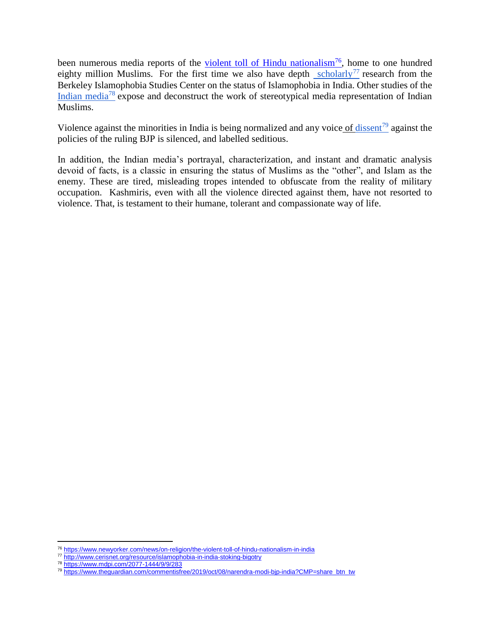been numerous media reports of the [violent toll of Hindu nationalism](https://www.newyorker.com/news/on-religion/the-violent-toll-of-hindu-nationalism-in-india)<sup>76</sup>, home to one hundred eighty million Muslims. For the first time we also have depth [scholarly](http://www.cerisnet.org/resource/islamophobia-in-india-stoking-bigotry)<sup>77</sup> research from the Berkeley Islamophobia Studies Center on the status of Islamophobia in India. Other studies of th[e](https://www.mdpi.com/2077-1444/9/9/283) [Indian media](https://www.mdpi.com/2077-1444/9/9/283)<sup>78</sup> expose and deconstruct the work of stereotypical media representation of Indian Muslims.

Violence against the minorities in India is being normalized and any voice [of dissent](https://www.theguardian.com/commentisfree/2019/oct/08/narendra-modi-bjp-india?CMP=share_btn_tw)<sup>79</sup> against the policies of the ruling BJP is silenced, and labelled seditious.

In addition, the Indian media's portrayal, characterization, and instant and dramatic analysis devoid of facts, is a classic in ensuring the status of Muslims as the "other", and Islam as the enemy. These are tired, misleading tropes intended to obfuscate from the reality of military occupation. Kashmiris, even with all the violence directed against them, have not resorted to violence. That, is testament to their humane, tolerant and compassionate way of life.

 $\overline{a}$ 

<sup>76</sup> <https://www.newyorker.com/news/on-religion/the-violent-toll-of-hindu-nationalism-in-india>

<sup>77</sup> <http://www.cerisnet.org/resource/islamophobia-in-india-stoking-bigotry>

<sup>78</sup> <https://www.mdpi.com/2077-1444/9/9/283>

<sup>79</sup> [https://www.theguardian.com/commentisfree/2019/oct/08/narendra-modi-bjp-india?CMP=share\\_btn\\_tw](https://www.theguardian.com/commentisfree/2019/oct/08/narendra-modi-bjp-india?CMP=share_btn_tw)